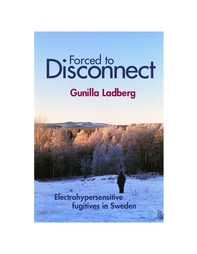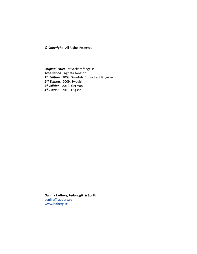*© Copyright.* All Rights Reserved.

*Original Title:* Ett vackert fängelse *Translation:* Agneta Jonsson *1st Edition.* 2008. Swedish. Ett vackert fängelse *2nd Edition.* 2009. Swedish *3th Edition*. 2010. German *4th Edition.* 2010. English

**Gunilla Ladberg Pedagogik & Språk** [gunilla@ladberg.se](mailto:gunilla@ladberg.se) [www.ladberg.se](http://www.ladberg.se)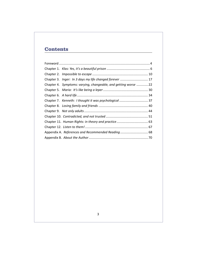# **Contents**

|  | Chapter 3. Inger: In 3 days my life changed forever  17         |  |
|--|-----------------------------------------------------------------|--|
|  | Chapter 4. Symptoms: varying, changeable, and getting worse  22 |  |
|  |                                                                 |  |
|  |                                                                 |  |
|  |                                                                 |  |
|  |                                                                 |  |
|  |                                                                 |  |
|  |                                                                 |  |
|  |                                                                 |  |
|  |                                                                 |  |
|  |                                                                 |  |
|  |                                                                 |  |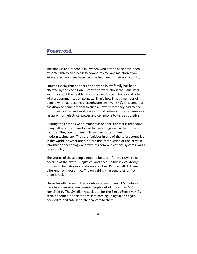# **Foreword**

This book is about people in Sweden who after having developed hypersensitivity to electricity or/and microwave radiation from wireless technologies have become fugitives in their own country.

I must first say that neither I nor anyone in my family has been affected by this condition. I started to write about the issue after learning about the health hazards caused by cell phones and other wireless communication gadgets. That's how I met a number of people who had become electrohypersensitive (EHS). This condition has disabled some of them to such an extent that they had to flee from their homes and workplaces to find refuge in forested areas as far away from electrical power and cell phone towers as possible.

Hearing their stories was a major eye-opener. The fact is that some of my fellow citizens are forced to live as fugitives in their own country! They are not fleeing from wars or terrorism, but from modern technology. They are fugitives in one of the safest countries in the world, or, what once, before the introduction of the latest in information technology and wireless communications systems, was a safe country.

The stories of these people need to be told – for their own sake because of the obvious injustice, and because this is everybody's business. Their stories are stories about us. People with EHS are no different from you or me. The only thing that separates us from them is luck.

I have travelled around the country and met many EHS fugitives. I have interviewed some twenty people out of more than 600 identified by The Swedish Association for the ElectroSensitive<sup>1</sup>. As certain themes in their stories kept coming up again and again, I decided to dedicate separate chapters to them.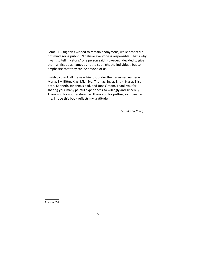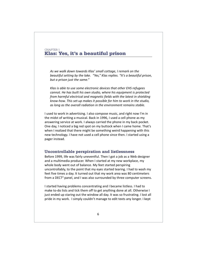## CHAPTER 1 **Klas: Yes, it's a beautiful prison**

*As we walk down towards Klas' small cottage, I remark on the beautiful setting by the lake. "Yes," Klas replies. "It's a beautiful prison, but a prison just the same."*

*Klas is able to use some electronic devices that other EHS refugees cannot. He has built his own studio, where his equipment is protected from harmful electrical and magnetic fields with the latest in shielding know-how. This set-up makes it possible for him to work in the studio, as long as the overall radiation in the environment remains stable.*

I used to work in advertising. I also compose music, and right now I'm in the midst of writing a musical. Back in 1996, I used a cell phone as my answering service at work. I always carried the phone in my back pocket. One day, I noticed a big red spot on my buttock when I came home. That's when I realized that there might be something weird happening with this new technology. I have not used a cell phone since then. I started using a pager instead.

### **Uncontrollable perspiration and listlessness**

Before 1999, life was fairly uneventful. Then I got a job as a Web designer and a multimedia producer. When I started at my new workplace, my whole body went out of balance. My feet started perspiring uncontrollably, to the point that my eyes started tearing. I had to wash my feet five times a day. It turned out that my work area was 80 centimeters from a DECT<sup>2</sup> panel, and I was also surrounded by three computer screens.

I started having problems concentrating and I became listless. I had to make to-do lists and tick them off to get anything done at all. Otherwise I just ended up staring out the window all day. It was so frustrating. I lost all pride in my work. I simply couldn't manage to edit texts any longer. I kept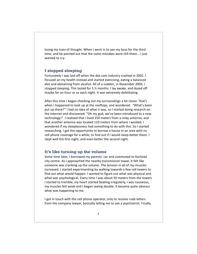losing my train of thought. When I went in to see my boss for the third time, and he pointed out that the same mistakes were still there… I just wanted to cry.

### **I stopped sleeping**

Fortunately I was laid off when the dot.com industry crashed in 2002. I focused on my health instead and started exercising, eating a balanced diet and abstaining from alcohol. All of a sudden, in November 2003, I stopped sleeping. This lasted for 5 ½ months. I lay awake, and dozed off maybe for an hour or so each night. It was extremely debilitating.

After this time I began checking out my surroundings a bit closer. That's when I happened to look up at the rooftops, and wondered: "What's been put up there?" I had no idea of what it was, so I started doing research on the Internet and discovered: "Oh my god, we've been introduced to a new technology!" I realized that I lived 250 meters from a relay antenna, and that another antenna was located 110 meters from where I worked. I wondered if my sleeplessness had something to do with this. So I started researching. I got the opportunity to borrow a house in an area with no cell phone coverage for a while, to find out if I would sleep better there. I slept well the first night, and even better the second night.

### **It's like turning up the volume**

Some time later, I borrowed my parents' car and commuted to Karlstad city centre. As I approached the nearby transmission tower, it felt like someone was cranking up the volume. The tension in all of my muscles increased. I started experimenting by walking towards a few cell towers to find out what would happen. I wanted to figure out what was physical and what was psychological. Every time I was about 50 meters from the towers I started to tremble, my heart started beating irregularly, I was nauseous, my muscles felt weak and I began seeing double. It became quite obvious what was happening to me.

I got in touch with the cell phone operator, only to receive rude letters from the company lawyer, basically telling me to see a psychiatrist. Finally,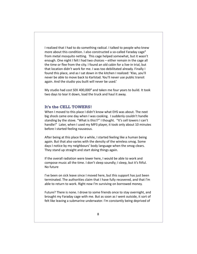I realized that I had to do something radical. I talked to people who knew more about this condition. I also constructed a so-called Faraday cage<sup>3</sup> from metal mosquito netting. This cage helped somewhat, but it wasn't enough. One night I felt I had two choices – either remain in the cage all the time or flee from the city. I found an old cabin for a live-in trial, but that location didn't work for me. I was too debilitated already. Finally I found this place, and as I sat down in the kitchen I realized: 'Klas, you'll never be able to move back to Karlstad. You'll never use public transit again. And the studio you built will never be used.'

My studio had cost SEK 400,000<sup>4</sup> and taken me four years to build. It took two days to tear it down, load the truck and haul it away.

#### **It's the CELL TOWERS!**

When I moved to this place I didn't know what EHS was about. The next big shock came one day when I was cooking. I suddenly couldn't handle standing by the stove. "What is this!?" I thought. "It's cell towers I can't handle!" Later, when I used my MP3 player, it took only about 10 minutes before I started feeling nauseous.

After being at this place for a while, I started feeling like a human being again. But that also varies with the density of the wireless smog. Some days I notice by my neighbours' body language when the smog clears. They stand up straight and start doing things again.

If the overall radiation were lower here, I would be able to work and compose music all the time. I don't sleep soundly; I sleep, but it's fitful. No future

I've been on sick leave since I moved here, but this support has just been terminated. The authorities claim that I have fully recovered, and that I'm able to return to work. Right now I'm surviving on borrowed money.

Future? There is none. I drove to some friends once to stay overnight, and brought my Faraday cage with me. But as soon as I went outside, it sort of felt like leaving a submarine underwater. I'm constantly being deprived of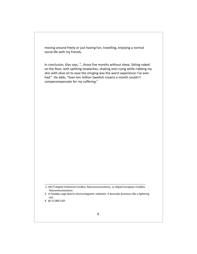moving around freely or just having fun, travelling, enjoying a normal social life with my friends.

In conclusion, Klas says, "...those five months without sleep. Sitting naked on the floor, with splitting headaches, shaking and crying while rubbing my skin with olive oil to ease the stinging was the worst experience I've ever had." He adds, "Even ten million Swedish crowns a month couldn't compecompensate for my suffering."

 *<sup>2.</sup> DECT=Digital Enhanced Cordless Telecommunications, or Digital European Cordless Telecommunications*

*<sup>3.</sup> A Faraday cage diverts electromagnetic radiation. It basically functions like a lightning rod.*

*<sup>4. @ 57,000</sup> USD*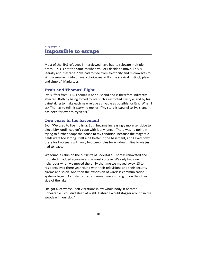## CHAPTER 2 **Impossible to escape**

Most of the EHS refugees I interviewed have had to relocate multiple times. This is not the same as when you or I decide to move. This is literally about escape. "I've had to flee from electricity and microwaves to simply survive. I didn't have a choice really. It's the survival instinct, plain and simple," Maria says.

### **Eva's and Thomas' flight**

Eva suffers from EHS. Thomas is her husband and is therefore indirectly affected. Both by being forced to live such a restricted lifestyle, and by his painstaking to make each new refuge as livable as possible for Eva. When I ask Thomas to tell his story he replies: "My story is parallel to Eva's, and it has been for over thirty years."

### **Two years in the basement**

*Eva:* "We used to live in Järna. But I became increasingly more sensitive to electricity, until I couldn't cope with it any longer. There was no point in trying to further adapt the house to my condition, because the magnetic fields were too strong. I felt a bit better in the basement, and I lived down there for two years with only two peepholes for windows. Finally, we just had to leave.

We found a cabin on the outskirts of Södertälje. Thomas renovated and insulated it, added a garage and a guest cottage. We only had one neighbour when we moved there. By the time we moved away, 13-14 residents lived there year round with their televisions and their security alarms and so on. And then the expansion of wireless communication systems began. A cluster of transmission towers sprang up on the other side of the lake.

Life got a lot worse. I felt vibrations in my whole body. It became unbearable. I couldn't sleep at night. Instead I would stagger around in the woods with our dog."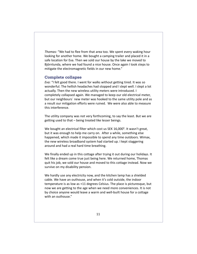*Thomas:* "We had to flee from that area too. We spent every waking hour looking for another home. We bought a camping trailer and placed it in a safe location for Eva. Then we sold our house by the lake we moved to Björnlunda, where we had found a nice house. Once again I took steps to mitigate the electromagnetic fields in our new home."

### **Complete collapse**

*Eva:* "I felt good there. I went for walks without getting tired. It was so wonderful. The hellish headaches had stopped and I slept well. I slept a lot actually. Then the new wireless utility meters were introduced. I completely collapsed again. We managed to keep our old electrical meter, but our neighbours´ new meter was hooked to the same utility pole and as a result our mitigation efforts were ruined. We were also able to measure this interference.

The utility company was not very forthcoming, to say the least. But we are getting used to that – being treated like lesser beings.

We bought an electrical filter which cost us SEK 16,000<sup>5</sup>. It wasn't great, but it was enough to help me carry on. After a while, something else happened, which made it impossible to spend any time outdoors. Wimax, the new wireless broadband system had started up. I kept staggering around and had a real hard time breathing.

We finally ended up in this cottage after trying it out during our holidays. It felt like a dream come true just being here. We returned home, Thomas quit his job, we sold our house and moved to this cottage instead. Now we survive on my disability pension.

We hardly use any electricity now, and the kitchen lamp has a shielded cable. We have an outhouse, and when it's cold outside, the indoor temperature is as low as +11 degrees Celsius. The place is picturesque, but now we are getting to the age when we need more conveniences. It is not by choice anyone would leave a warm and well-built house for a cottage with an outhouse."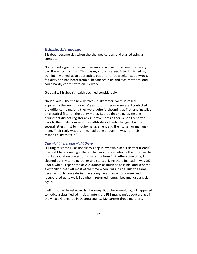## **Elisabeth's escape**

Elisabeth became sick when she changed careers and started using a computer.

"I attended a graphic design program and worked on a computer every day. It was so much fun! This was my chosen career. After I finished my training, I worked as an apprentice, but after three weeks I was a wreck. I felt dizzy and had heart trouble, headaches, skin and eye irritations, and could hardly concentrate on my work."

Gradually, Elisabeth's health declined considerably.

"In January 2005, the new wireless utility meters were installed, apparently the worst model. My symptoms became severe. I contacted the utility company, and they were quite forthcoming at first, and installed an electrical filter on the utility meter. But it didn't help. My testing equipment did not register any improvements either. When I reported back to the utility company their attitude suddenly changed. I wrote several letters, first to middle-management and then to senior management. Their reply was that they had done enough. It was not their responsibility to fix it."

#### *One night here, one night there*

"During this time I was unable to sleep in my own place. I slept at friends', one night here, one night there. That was not a solution either. It's hard to find low radiation places for us suffering from EHS. After some time, I cleaned out my camping trailer and started living there instead. It was OK – for a while. I spent the days outdoors as much as possible, and kept the electricity turned off most of the time when I was inside. Just the same, I became much worse during the spring. I went away for a week and recuperated quite well. But when I returned home, I became just as sick again.

I felt I just had to get away, far, far away. But where would I go? I happened to notice a classified ad in Ljusglimten, the FEB magazine<sup>6</sup>, about a place in the village Grangärde in Dalarna county. My partner drove me there.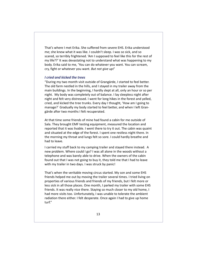That's where I met Erika. She suffered from severe EHS. Erika understood me; she knew what it was like. I couldn't sleep. I was so sick, and so scared, so terribly frightened. 'Am I supposed to feel like this for the rest of my life??' It was devastating not to understand what was happening to my body. Erika said to me, 'You can do whatever you want. You can scream, cry, fight or whatever you want. *But not give up!*'

### *I cried and kicked the trees*

"During my two month visit outside of Grangärde, I started to feel better. The old farm nestled in the hills, and I stayed in my trailer away from the main buildings. In the beginning, I hardly slept at all, only an hour or so per night. My body was completely out of balance. I lay sleepless night after night and felt very distressed. I went for long hikes in the forest and yelled, cried, and kicked the tree trunks. Every day I thought, 'How am I going to manage?´ Gradually my body started to feel better, and when I left Grangärde after two months I felt recuperated.

At that time some friends of mine had found a cabin for me outside of Sala. They brought EMF testing equipment, measured the location and reported that it was livable. I went there to try it out. The cabin was quaint and situated at the edge of the forest. I spent one restless night there. In the morning my throat and lungs felt so sore. I could hardly breathe and had to leave.

I carried my stuff back to my camping trailer and stayed there instead. A new problem. Where could I go? I was all alone in the woods without a telephone and was barely able to drive. When the owners of the cabin found out that I was not going to buy it, they told me that I had to leave with my trailer in two days. I was struck by panic!

That's when the veritable moving circus started. My son and some EHS friends helped me out by moving the trailer several times. I tried living on properties of various friends and friends of my friends, but I felt more or less sick in all those places. One month, I parked my trailer with some EHS friends. It was really nice there. Staying so much closer to my old home, I had more visits too. Unfortunately, I was unable to tolerate the ambient radiation there either. I felt desperate. Once again I had to give up home turf."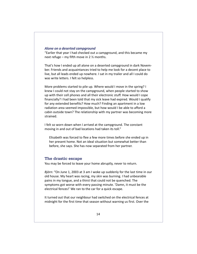#### *Alone on a deserted campground*

"Earlier that year I had checked out a campground, and this became my next refuge – my fifth move in 2  $\frac{1}{2}$  months.

That's how I ended up all alone on a deserted campground in dark November. Friends and acquaintances tried to help me look for a decent place to live, but all leads ended up nowhere. I sat in my trailer and all I could do was write letters. I felt so helpless.

More problems started to pile up. Where would I move in the spring? I knew I could not stay on the campground, when people started to show up with their cell phones and all their electronic stuff. How would I cope financially? I had been told that my sick leave had expired. Would I qualify for any extended benefits? How much? Finding an apartment in a low radiation area seemed impossible, but how would I be able to afford a cabin outside town? The relationship with my partner was becoming more strained.

I felt so worn down when I arrived at the campground. The constant moving in and out of bad locations had taken its toll."

Elisabeth was forced to flee a few more times before she ended up in her present home. Not an ideal situation but somewhat better than before, she says. She has now separated from her partner.

## **The drastic escape**

You may be forced to leave your home abruptly, never to return.

*Björn:* "On June 1, 2003 at 3 am I woke up suddenly for the last time in our old house. My heart was racing, my skin was burning. I had unbearable pains in my tongue, and a thirst that could not be quenched. The symptoms got worse with every passing minute. 'Damn, it must be the electrical fences!' We ran to the car for a quick escape.

It turned out that our neighbour had switched on the electrical fences at midnight for the first time that season without warning us first. Over the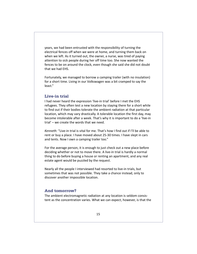years, we had been entrusted with the responsibility of turning the electrical fences off when we were at home, and turning them back on when we left. As it turned out, the owner, a nurse, was tired of paying attention to sick people during her off time too. She now wanted the fences to be on around the clock, even though she said she did not doubt that we had EHS.

Fortunately, we managed to borrow a camping trailer (with no insulation) for a short time. Living in our Volkswagen was a bit cramped to say the least."

### **Live-in trial**

I had never heard the expression 'live-in trial' before I met the EHS refugees. They often test a new location by staying there for a short while to find out if their bodies tolerate the ambient radiation at that particular location, which may vary drastically. A tolerable location the first day, may become intolerable after a week. That's why it is important to do a 'live-in trial' – we create the words that we need.

*Kenneth:* "Live-in trial is vital for me. That's how I find out if I'll be able to rent or buy a place. I have moved about 25-30 times. I have slept in cars and tents. Now I own a camping trailer too."

For the average person, it is enough to just check out a new place before deciding whether or not to move there. A live-in trial is hardly a normal thing to do before buying a house or renting an apartment, and any real estate agent would be puzzled by the request.

Nearly all the people I interviewed had resorted to live-in trials, but sometimes that was not possible. They take a chance instead, only to discover another impossible location.

## **And tomorrow?**

The ambient electromagnetic radiation at any location is seldom consistent as the concentration varies. What we can expect, however, is that the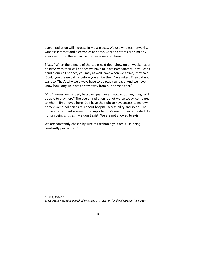overall radiation will increase in most places. We use wireless networks, wireless internet and electronics at home. Cars and stores are similarly equipped. Soon there may be no free zone anywhere.

*Björn:* "When the owners of the cabin next door show up on weekends or holidays with their cell phones we have to leave immediately. 'If you can't handle our cell phones, you may as well leave when we arrive,' they said. 'Could you please call us before you arrive then?' we asked. They did not want to. That's why we always have to be ready to leave. And we never know how long we have to stay away from our home either."

*Mia:* "I never feel settled, because I just never know about anything. Will I be able to stay here? The overall radiation is a lot worse today, compared to when I first moved here. Do I have the right to have access to my own home? Some politicians talk about hospital accessibility and so on. The home environment is even more important. We are not being treated like human beings. It's as if we don't exist. We are not allowed to exist.

We are constantly chased by wireless technology. It feels like being constantly persecuted."

*<sup>5. @ 2,300</sup> USD*

*<sup>6.</sup> Quarterly magazine published by Swedish Association for the ElectroSensitive (FEB).*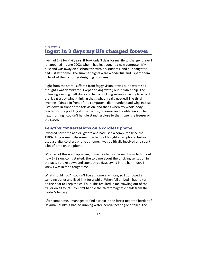## CHAPTER 3 **Inger: In 3 days my life changed forever**

I've had EHS for 4 ½ years. It took only 3 days for my life to change forever! It happened in June 2002, when I had just bought a new computer. My husband was away on a school trip with his students, and our daughter had just left home. The summer nights were wonderful, and I spent them in front of the computer designing programs.

Right from the start I suffered from foggy vision. It was quite warm so I thought I was dehydrated. I kept drinking water, but it didn't help. The following evening I felt dizzy and had a prickling sensation in my face. So I drank a glass of wine, thinking that's what I really needed! The third evening I fainted in front of the computer. I didn't understand why. Instead I sat down in front of the television, and that's when my whole body reacted with a prickling skin sensation, dizziness and double vision. The next morning I couldn't handle standing close to the fridge, the freezer or the stove.

### **Lengthy conversations on a cordless phone**

I worked part-time at a drugstore and had used a computer since the 1980s. It took me quite some time before I bought a cell phone. Instead I used a digital cordless phone at home. I was politically involved and spent a lot of time on the phone.

When all of this was happening to me, I called someone I know to find out how EHS symptoms started. She told me about the prickling sensation in the face. I broke down and spent three days crying in the hammock. I knew I was in for a tough time.

What should I do? I couldn't live at home any more, so I borrowed a camping trailer and lived in it for a while. When fall arrived, I had to turn on the heat to keep the chill out. This resulted in me crawling out of the trailer on all fours. I couldn't handle the electromagnetic fields from the heater's battery.

After some time, I managed to find a cabin in the forest near the border of Dalarna County. It had no running water, central heating or a toilet. The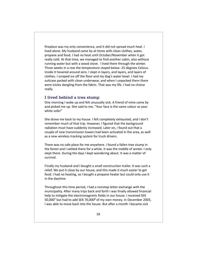fireplace was my only convenience, and it did not spread much heat. I lived alone. My husband came by at times with clean clothes, water, propane and food. I had no heat until October/November when it got really cold. At that time, we managed to find another cabin, also without running water but with a wood stove. I lived there through the winter. Three weeks in a row the temperature stayed below -25 degrees Celsius. Inside it hovered around zero. I slept in layers, and layers, and layers of clothes. I scraped ice off the floor and my dog's water bowl. I had my suitcase packed with clean underwear, and when I unpacked them there were icicles dangling from the fabric. That was my life. I had no choice really.

### **I lived behind a tree stump**

One morning I woke up and felt unusually sick. A friend of mine came by and picked me up. She said to me, "Your face is the same colour as your white sofa!"

She drove me back to my house. I felt completely exhausted, and I don't remember much of that trip. However, I figured that the background radiation must have suddenly increased. Later on, I found out that a couple of new transmission towers had been activated in the area, as well as a new wireless tracking system for truck drivers.

There was no safe place for me anywhere. I found a fallen tree stump in the forest and I settled there for a while. It was the middle of winter. I only slept there. During the days I kept wandering about. It was a matter of survival.

Finally my husband and I bought a small construction trailer. It was such a relief. We put it close by our house, and this made it much easier to get food. I had no heating, so I bought a propane heater but could only use it in the daytime.

Throughout this time period, I had a nonstop letter exchange with the municipality. After many trips back and forth I was finally allowed financial help to mitigate the electromagnetic fields in our house. I received SEK 50,000<sup>7</sup> but had to add SEK 70,000<sup>8</sup> of my own money. In December 2003, I was able to move back into the house. But after a month I became sick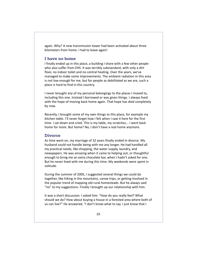again. Why? A new transmission tower had been activated about three kilometers from home. I had to leave again!

### **I have no home**

I finally ended up in this place, a building I share with a few other people who also suffer from EHS. It was terribly substandard, with only a dirt floor, no indoor toilet and no central heating. Over the years, we've managed to make some improvements. The ambient radiation in this area is not low enough for me, but for people as debilitated as we are, such a place is hard to find in this country.

I never brought any of my personal belongings to the places I moved to, including this one. Instead I borrowed or was given things. I always lived with the hope of moving back home again. That hope has died completely by now.

Recently, I brought some of my own things to this place, for example my kitchen table. I'll never forget how I felt when I saw it here for the first time. I sat down and cried. This is my table, my scratches... I went back home for more. But home? No, I don't have a real home anymore.

### **Divorce**

As time went on, my marriage of 32 years finally ended in divorce. My husband could not handle being with me any longer. He had handled all my practical needs, like shopping, the water supply, laundry, and newspapers. He was amazing when it came to helping out, or thoughtful enough to bring me an extra chocolate bar, when I hadn't asked for one. But he never lived with me during this time. My weekends were spent in solitude.

During the summer of 2005, I suggested several things we could do together, like hiking in the mountains, canoe trips, or getting involved in the popular trend of mapping old rural homesteads. But he always said "no" to my suggestions. Finally I brought up our relationship with him.

It was a short discussion. I asked him: "How do you really feel? What should we do? How about buying a house in a forested area where both of us can live?" He answered, "I don't know what to say. I just know that I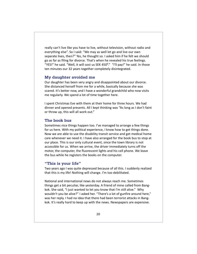really can't live like you have to live, without television, without radio and everything else". So I said: "We may as well let go and live our own separate lives, then?" Yes, he thought so. I asked him if he felt we should go as far as filing for divorce. That's when he revealed his true feelings. "YES!" he said. "Well, it will cost us SEK 450<sup>9</sup>." "I'll pay!" he said. In those ten minutes our 32 years together completely disintegrated.

## **My daughter avoided me**

Our daughter has been very angry and disappointed about our divorce. She distanced herself from me for a while, basically because she was scared. It's better now, and I have a wonderful grandchild who now visits me regularly. We spend a lot of time together here.

I spent Christmas Eve with them at their home for three hours. We had dinner and opened presents. All I kept thinking was "As long as I don't faint or throw up, this will all work out."

### **The book bus**

Sometimes nice things happen too. I've managed to arrange a few things for us here. With my political experience, I know how to get things done. Now we are able to use the disability transit service and get medical home care whenever we need it. I have also arranged for the book bus to stop at our place. This is our only cultural event, since the town library is not accessible for us. When we arrive, the driver immediately turns off the motor, the computer, the fluorescent lights and his cell phone. We leave the bus while he registers the books on the computer.

### **"This is your life"**

Two years ago I was quite depressed because of all this. I suddenly realized that this is my life! Nothing will change. I'm too debilitated.

National and international news do not always reach me. Sometimes things get a bit peculiar, like yesterday. A friend of mine called from Bangkok. She said, "I just wanted to let you know that I'm still alive." Why wouldn't you be alive?" I asked her. "There's a lot of gunfire around here," was her reply. I had no idea that there had been terrorist attacks in Bangkok. It's really hard to keep up with the news. Newspapers are expensive.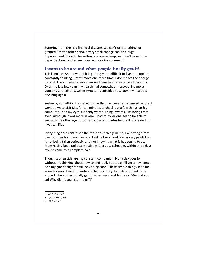Suffering from EHS is a financial disaster. We can't take anything for granted. On the other hand, a very small change can be a huge improvement. Soon I'll be getting a propane lamp, so I don't have to be dependent on candles anymore. A major improvement!

#### **I want to be around when people finally get it!**

This is no life. And now that it is getting more difficult to live here too I'm constantly thinking, I can't move one more time. I don't have the energy to do it. The ambient radiation around here has increased a lot recently. Over the last few years my health had somewhat improved. No more vomiting and fainting. Other symptoms subsided too. Now my health is declining again.

Yesterday something happened to me that I've never experienced before. I went down to visit Klas for ten minutes to check out a few things on his computer. Then my eyes suddenly were turning inwards, like being crosseyed, although it was more severe. I had to cover one eye to be able to see with the other eye. It took a couple of minutes before it all cleared up. I was terrified.

Everything here centres on the most basic things in life, like having a roof over our heads and not freezing. Feeling like an outsider is very painful, as is not being taken seriously, and not knowing what is happening to us. From having been politically active with a busy schedule, within three days my life came to a complete halt.

Thoughts of suicide are my constant companion. Not a day goes by without my thinking about how to end it all. But today I'll get a new lamp! And my granddaughter will be visiting soon. These simple things keep me going for now. I want to write and tell our story. I am determined to be around when others finally get it! When we are able to say, "We told you so! Why didn't you listen to us?!"

- *7. @ 7,350 USD*
- *8. @ 10,300 USD*
- *9. @ 65 USD*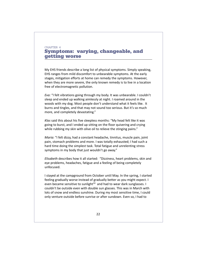## CHAPTER 4 **Symptoms: varying, changeable, and getting worse**

My EHS friends describe a long list of physical symptoms. Simply speaking, EHS ranges from mild discomfort to unbearable symptoms. At the early stages, mitigation efforts at home can remedy the symptoms. However, when they are more severe, the only known remedy is to live in a location free of electromagnetic pollution.

*Eva:* "I felt vibrations going through my body. It was unbearable. I couldn't sleep and ended up walking aimlessly at night. I roamed around in the woods with my dog. Most people don't understand what it feels like. It burns and tingles, and that may not sound too serious. But it's so much more, and completely devastating."

*Klas* said this about his five sleepless months: "My head felt like it was going to burst, and I ended up sitting on the floor quivering and crying while rubbing my skin with olive oil to relieve the stinging pains."

*Maria:* "I felt dizzy, had a constant headache, tinnitus, muscle pain, joint pain, stomach problems and more. I was totally exhausted; I had such a hard time doing the simplest task. Total fatigue and unrelenting stress symptoms in my body that just wouldn't go away."

*Elisabeth* describes how it all started: "Dizziness, heart problems, skin and eye problems, headaches, fatigue and a feeling of being completely unfocused.

I stayed at the campground from October until May. In the spring, I started feeling gradually worse instead of gradually better as you might expect. I even became sensitive to sunlight<sup>10</sup> and had to wear dark sunglasses. I couldn't be outside even with double sun glasses. This was in March with lots of snow and endless sunshine. During my most sensitive time, I could only venture outside before sunrise or after sundown. Even so, I had to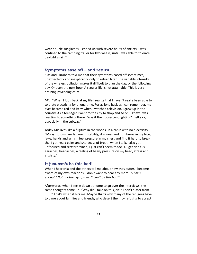wear double sunglasses. I ended up with severe bouts of anxiety. I was confined to the camping trailer for two weeks, until I was able to tolerate daylight again."

#### **Symptoms ease off – and return**

Klas and Elizabeth told me that their symptoms eased off sometimes, unexpectedly and inexplicably, only to return later. The variable intensity of the wireless pollution makes it difficult to plan the day, or the following day. Or even the next hour. A regular life is not attainable. This is very draining psychologically.

*Mia:* "When I look back at my life I realize that I haven't really been able to tolerate electricity for a long time. For as long back as I can remember, my eyes became red and itchy when I watched television. I grew up in the country. As a teenager I went to the city to shop and so on. I knew I was reacting to something there. Was it the fluorescent lighting? I felt sick, especially in the subway."

Today Mia lives like a fugitive in the woods, in a cabin with no electricity. "My symptoms are fatigue, irritability, dizziness and numbness in my face, jaws, hands and arms. I feel pressure in my chest and find it hard to breathe. I get heart pains and shortness of breath when I talk. I also get unfocused and scatterbrained; I just can't seem to focus. I get tinnitus, earaches, headaches, a feeling of heavy pressure on my head, stress and anxiety."

### **It just can't be this bad!**

When I hear Mia and the others tell me about how they suffer, I become aware of my own reactions. I don't want to hear any more. *"That's enough! Not another symptom. It can't be this bad!"*

Afterwards, when I settle down at home to go over the interviews, the same thoughts come up: "Why did I take on this job!? I don't suffer from EHS!" That's when it hits me. Maybe that's why many of the refugees have told me about families and friends, who desert them by refusing to accept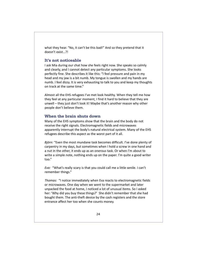what they hear. "No, it can't be this bad!" And so they pretend that it doesn't exist…?!

## **It's not noticeable**

I ask Mia during our chat how she feels right now. She speaks so calmly and clearly, and I cannot detect any particular symptoms. She looks perfectly fine. She describes it like this: "I feel pressure and pain in my head and my jaw is a bit numb. My tongue is swollen and my hands are numb. I feel dizzy. It is very exhausting to talk to you and keep my thoughts on track at the same time."

Almost all the EHS refugees I've met look healthy. When they tell me how they feel at any particular moment, I find it hard to believe that they are unwell – they just don't look it! Maybe that's another reason why other people don't believe them.

## **When the brain shuts down**

Many of the EHS symptoms show that the brain and the body do not receive the right signals. Electromagnetic fields and microwaves apparently interrupt the body's natural electrical system. Many of the EHS refugees describe this aspect as the worst part of it all.

*Björn:* "Even the most mundane task becomes difficult. I've done plenty of carpentry in my days, but sometimes when I hold a screw in one hand and a nut in the other, it ends up as an onerous task. Or when I'm about to write a simple note, nothing ends up on the paper. I'm quite a good writer too."

*Eva:* "What's really scary is that you could call me a little senile. I can't remember things."

*Thomas:* "I notice immediately when Eva reacts to electromagnetic fields or microwaves. One day when we went to the supermarket and later unpacked the food at home, I noticed a lot of unusual items. So I asked her: 'Why did you buy these things?' She didn't remember that she had bought them. The anti-theft device by the cash registers and the store entrance affect her too when she counts money.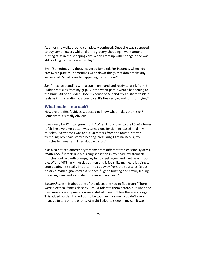At times she walks around completely confused. Once she was supposed to buy some flowers while I did the grocery shopping. I went around putting stuff in the shopping cart. When I met up with her again she was still looking for the flower display."

*Eva:* "Sometimes my thoughts get so jumbled. For instance, when I do crossword puzzles I sometimes write down things that don't make any sense at all. What is really happening to my brain?"

*Siv:* "I may be standing with a cup in my hand and ready to drink from it. Suddenly it slips from my grip. But the worst part is what's happening to the brain. All of a sudden I lose my sense of self and my ability to think. It feels as if I'm standing at a precipice. It's like vertigo, and it is horrifying."

### **What makes me sick?**

How are the EHS fugitives supposed to know what makes them sick? Sometimes it's really obvious.

It was easy for *Klas* to figure it out. "When I got closer to the Lövnäs tower it felt like a volume button was turned up. Tension increased in all my muscles. Every time I was about 50 meters from the tower I started trembling. My heart started beating irregularly, I got nauseous, my muscles felt weak and I had double vision."

Klas also noticed different symptoms from different transmission systems. "With GSM $11$  it feels like a burning sensation in my head, my stomach muscles contract with cramps, my hands feel larger, and I get heart trouble. With UMTS<sup>12</sup> my muscles tighten and it feels like my heart is going to stop beating. It's really important to get away from the source as fast as possible. With digital cordless phones<sup>13</sup> I get a buzzing and crawly feeling under my skin, and a constant pressure in my head."

*Elisabeth* says this about one of the places she had to flee from: "There were electrical fences close by. I could tolerate them before, but when the new wireless utility meters were installed I couldn't live there any longer. This added burden turned out to be too much for me. I couldn't even manage to talk on the phone. At night I tried to sleep in my car. It was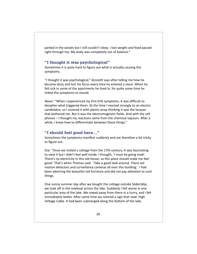parked in the woods but I still couldn't sleep. I lost weight and food passed right through me. My body was completely out of balance."

#### **"I thought it was psychological"**

Sometimes it is quite hard to figure out what is actually causing the symptoms.

"I thought it was psychological," *Kenneth* says after telling me how he became dizzy and lost his focus every time he entered a store. When he felt sick in some of the apartments he lived in, for quite some time he linked the symptoms to mould.

*Naser:* "When I experienced my first EHS symptoms, it was difficult to decipher what triggered them. At the time I reacted strongly to an electric candelabra, so I covered it with plastic wrap thinking it was the lacquer that bothered me. But it was the electromagnetic fields. And with the cell phones – I thought my reactions came from the chemical vapours. After a while, I knew how to differentiate between these things."

## **"I should feel good here…"**

Sometimes the symptoms manifest suddenly and are therefore a bit tricky to figure out.

*Eva:* "Once we visited a cottage from the 17th century. It was fascinating to view it but I didn't feel well inside. I thought, 'I must be going mad! There's no electricity in this old house, so this place should make me feel good.' That's when Thomas said: 'Take a good look around. There are motion detectors and surveillance cameras all over this building.' I had been admiring the beautiful old furniture and did not pay attention to such things.

One sunny summer day after we bought the cottage outside Södertälje, we took off in the rowboat across the lake. Suddenly I felt worse in one particular area of the lake. We rowed away from there in a hurry, and I felt immediately better. After some time we noticed a sign that read: High Voltage Cable. It had been submerged along the bottom of the lake.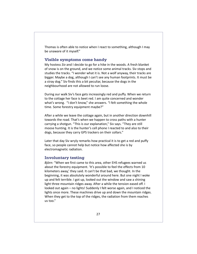Thomas is often able to notice when I react to something, although I may be unaware of it myself."

## **Visible symptoms come handy**

My hostess *Siv* and I decide to go for a hike in the woods. A fresh blanket of snow is on the ground, and we notice some animal tracks. Siv stops and studies the tracks. "I wonder what it is. Not a wolf anyway, their tracks are bigger. Maybe a dog, although I can't see any human footprints. It must be a stray dog." Siv finds this a bit peculiar, because the dogs in the neighbourhood are not allowed to run loose.

During our walk Siv's face gets increasingly red and puffy. When we return to the cottage her face is beet red. I am quite concerned and wonder what's wrong. "I don't know," she answers. "I felt something the whole time. Some forestry equipment maybe?"

After a while we leave the cottage again, but in another direction downhill towards the road. That's when we happen to cross paths with a hunter carrying a shotgun. "This is our explanation," Siv says. "They are still moose hunting. It is the hunter's cell phone I reacted to and also to their dogs, because they carry GPS trackers on their collars."

Later that day Siv wryly remarks how practical it is to get a red and puffy face, so people cannot help but notice how affected she is by electromagnetic radiation.

## **Involuntary testing**

*Björn:* "When we first came to this area, other EHS refugees warned us about the forestry equipment. 'It's possible to feel the effects from 10 kilometers away,' they said. It can't be that bad, we thought. In the beginning, it was absolutely wonderful around here. But one night I woke up and felt terrible. I got up, looked out the window and saw a shining light three mountain ridges away. After a while the tension eased off. I looked out again – no lights! Suddenly I felt worse again, and I noticed the lights once more. These machines drive up and down the mountain ridges. When they get to the top of the ridges, the radiation from them reaches us too."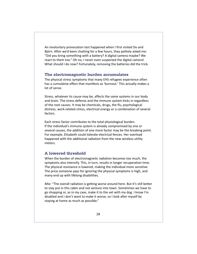An involuntary provocation test happened when I first visited Siv and Björn. After we'd been chatting for a few hours, they politely asked me: "Did you bring something with a battery? A digital camera maybe? We react to them too." Oh no, I never even suspected the digital camera! What should I do now? Fortunately, removing the batteries did the trick.

### **The electromagnetic burden accumulates**

The physical stress symptoms that many EHS refugees experience often has a cumulative effect that manifests as 'burnout.' This actually makes a lot of sense.

Stress, whatever its cause may be, affects the same systems in our body and brain. The stress defense and the immune system kicks in regardless of the root causes. It may be chemicals, drugs, the flu, psychological distress, work-related stress, electrical energy or a combination of several factors.

Each stress factor contributes to the total physiological burden. If the individual's immune system is already compromised by one or several causes, the addition of one more factor may be the breaking point. For example, Elisabeth could tolerate electrical fences. Her overload happened with the additional radiation from the new wireless utility meters.

## **A lowered threshold**

When the burden of electromagnetic radiation becomes too much, the symptoms also intensify. This, in turn, results in longer recuperation time. The physical resistance is lowered, making the individual more sensitive. The price someone pays for ignoring the physical symptoms is high, and many end up with lifelong disabilities.

*Mia:* "The overall radiation is getting worse around here. But it's still better to stay put in this cabin and not venture into town. Sometimes we have to go shopping or, as in my case, make it to the vet with my dog. I know I'm disabled and I don't want to make it worse, so I look after myself by staying at home as much as possible."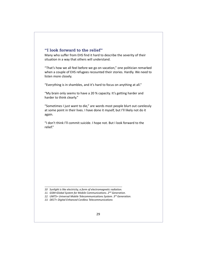## **"I look forward to the relief"**

Many who suffer from EHS find it hard to describe the severity of their situation in a way that others will understand.

"That's how we all feel before we go on vacation," one politician remarked when a couple of EHS refugees recounted their stories. Hardly. We need to listen more closely.

"Everything is in shambles, and it's hard to focus on anything at all."

"My brain only seems to have a 20 % capacity. It's getting harder and harder to think clearly."

"Sometimes I just want to die," are words most people blurt out carelessly at some point in their lives. I have done it myself, but I'll likely not do it again.

"I don't think I'll commit suicide. I hope not. But I look forward to the relief."

- *10 Sunlight is like electricity, a form of electromagnetic radiation.*
- *11. GSM=Global System for Mobile Communications. 2nd Generation.*
- *12. UMTS= Universal Mobile Telecommunications System. 3rd Generation.*
- *13. DECT= Digital Enhanced Cordless Telecommunications*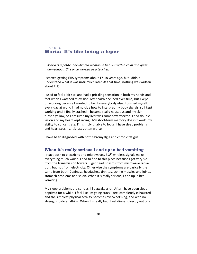## CHAPTER 5 **Maria: It's like being a leper**

*Maria is a petite, dark-haired woman in her 50s with a calm and quiet demeanour. She once worked as a teacher.*

I started getting EHS symptoms about 17-18 years ago, but I didn't understand what it was until much later. At that time, nothing was written about EHS.

I used to feel a bit sick and had a prickling sensation in both my hands and feet when I watched television. My health declined over time, but I kept on working because I wanted to be like everybody else. I pushed myself every day at work. I had no clue how to interpret my body signals, so I kept working until I finally crashed. I became really nauseous and my skin turned yellow, so I presume my liver was somehow affected. I had double vision and my heart kept racing. My short-term memory doesn't work, my ability to concentrate, I'm simply unable to focus. I have sleep problems and heart spasms. It's just gotten worse.

I have been diagnosed with both fibromyalgia and chronic fatigue.

## **When it's really serious I end up in bed vomiting**

I react both to electricity and microwaves.  $3G<sup>14</sup>$  wireless signals make everything much worse. I had to flee to this place because I got very sick from the transmission towers. I get heart spasms from microwave radiation, but not from electricity. Otherwise the symptoms are basically the same from both. Dizziness, headaches, tinnitus, aching muscles and joints, stomach problems and so on. When it´s really serious, I end up in bed vomiting.

My sleep problems are serious. I lie awake a lot. After I have been sleep deprived for a while, I feel like I'm going crazy. I feel completely exhausted and the simplest physical activity becomes overwhelming, and with no strength to do anything. When it's really bad, I eat dinner directly out of a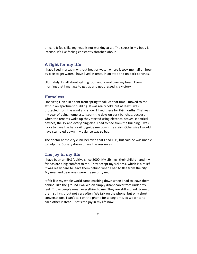tin can. It feels like my head is not working at all. The stress in my body is intense. It's like feeling constantly thrashed about.

### **A fight for my life**

I have lived in a cabin without heat or water, where it took me half an hour by bike to get water. I have lived in tents, in an attic and on park benches.

Ultimately it's all about getting food and a roof over my head. Every morning that I manage to get up and get dressed is a victory.

## **Homeless**

One year, I lived in a tent from spring to fall. At that time I moved to the attic in an apartment building. It was really cold, but at least I was protected from the wind and snow. I lived there for 8-9 months. That was my year of being homeless. I spent the days on park benches, because when the tenants woke up they started using electrical stoves, electrical devices, the TV and everything else. I had to flee from the building. I was lucky to have the handrail to guide me down the stairs. Otherwise I would have stumbled down, my balance was so bad.

The doctor at the city clinic believed that I had EHS, but said he was unable to help me. Society doesn't have the resources.

#### **The joy in my life**

I have been an EHS fugitive since 2000. My siblings, their children and my friends are a big comfort to me. They accept my sickness, which is a relief. It was really hard to leave them behind when I had to flee from the city. My near and dear ones were my security net.

It felt like my whole world came crashing down when I had to leave them behind, like the ground I walked on simply disappeared from under my feet. Those people mean everything to me. They are still around. Some of them still visit, but not very often. We talk on the phone, but only short conversations. I can't talk on the phone for a long time, so we write to each other instead. That's the joy in my life now.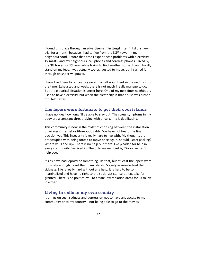I found this place through an advertisement in Ljusglimten<sup>15</sup>. I did a live-in trial for a month because I had to flee from the  $3G^{16}$  tower in my neighbourhood. Before that time I experienced problems with electricity, TV masts, and my neighbours' cell phones and cordless phones. I lived by the 3G tower for 1½ year while trying to find another home. I could hardly stand on my feet. I was actually too exhausted to move, but I carried it through on sheer willpower.

I have lived here for almost a year and a half now. I feel so drained most of the time. Exhausted and weak, there is not much I really manage to do. But the electrical situation is better here. One of my next door neighbours used to have electricity, but when the electricity in that house was turned off I felt better.

### **The lepers were fortunate to get their own islands**

I have no idea how long I'll be able to stay put. The stress symptoms in my body are a constant threat. Living with uncertainty is debilitating.

This community is now in the midst of choosing between the installation of wireless internet or fibre-optic cable. We have not heard the final decision yet. This insecurity is really hard to live with. My thoughts are preoccupied with being forced to move once again. Should I start packing? Where will I end up? There is no help out there. I've pleaded for help in every community I've lived in. The only answer I get is, "Sorry, we can't help you."

It's as if we had leprosy or something like that, but at least the lepers were fortunate enough to get their own islands. Society acknowledged their sickness. Life is really hard without any help. It is hard to be so marginalized and have no right to the social assistance others take for granted. There is no political will to create low radiation areas for us to live in either.

## **Living in exile in my own country**

It brings on such sadness and depression not to have any access to my community or to my country – not being able to go to the movies,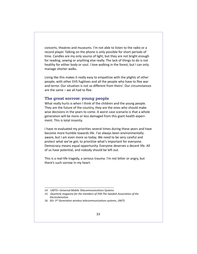concerts, theatres and museums. I'm not able to listen to the radio or a record player. Talking on the phone is only possible for short periods of time. Candles are my only source of light, but they are not bright enough for reading, sewing or anything else really. The lack of things to do is not healthy for either body or soul. I love walking in the forest, but I can only manage shorter walks.

Living like this makes it really easy to empathize with the plights of other people, with other EHS fugitives and all the people who have to flee war and terror. Our situation is not so different from theirs'. Our circumstances are the same – we all had to flee.

### **The great sorrow: young people**

What really hurts is when I think of the children and the young people. They are the future of the country, they are the ones who should make wise decisions in the years to come. A worst case scenario is that a whole generation will be more or less damaged from this giant health experiment. This is total insanity.

I have re-evaluated my priorities several times during these years and have become more humble towards life. I've always been environmentally aware, but I am even more so today. We need to be very careful and protect what we've got; to prioritize what's important for everyone. Democracy means equal opportunity. Everyone deserves a decent life. All of us have potential, and nobody should be left out.

This is a real-life tragedy, a serious trauma. I'm not bitter or angry, but there's such sorrow in my heart.

*<sup>14.</sup> UMTS= Universal Mobile Telecommunications Systems*

*<sup>15.</sup> Quarterly magazine for the members of FEB-The Swedish Association of the ElectroSensitive*

*<sup>16. 3</sup>G= 3rd Generation wireless telecommunications systems, UMTS.*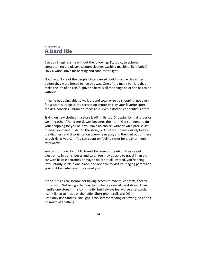## CHAPTER 6 **A hard life**

Can you imagine a life without the following: TV, radio, telephone, computer, record player, vacuum cleaner, washing machine, light bulbs? Only a wood stove for heating and candles for light?

Not likely. None of the people I interviewed could imagine this either before they were forced to live this way. One of the many barriers that make the life of an EHS fugitive so hard is all the things he or she has to do without.

Imagine not being able to walk around town or to go shopping, not even for groceries, or go to the recreation centre or play your favorite sport. Movies, concerts, libraries? Impossible. Even a doctor's or dentist's office.

Trying on new clothes in a store is off limits too. Shopping by mail order or wearing others' hand-me-downs becomes the norm. Get someone to do your shopping for you or, if you have no choice, write down a precise list of what you need, rush into the store, pick out your items quickly before the dizziness and disorientation overwhelm you, and then get out of there as quickly as you can. You can count on feeling sicker for a day or more afterwards.

You cannot travel by public transit because of the ubiquitous use of electronics in trains, buses and cars. You may be able to travel in an old car with basic electronics or maybe no car at all. Instead, you're being involuntarily stuck in one place, and not able to visit your aging parents or your children whenever they need you.

*Maria:* "It's a real sorrow not having access to movies, concerts, theatre, museums… Not being able to go to doctors or dentists and stores. I can handle one store in this community, but I always feel worse afterwards. I can't listen to music or the radio. Short phone calls are OK. I can only use candles. The light is too soft for reading or sewing, so I don't do much of anything."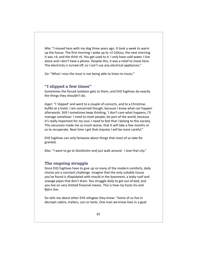*Mia:* "I moved here with my dog three years ago. It took a week to warm up the house. The first morning I woke up to +2 Celsius, the next morning it was +4, and the third +6. You get used to it. I only have cold water. I live alone and I don't have a phone. Despite this, it was a relief to move here. The electricity is turned off, so I can't use any electrical appliances."

*Siv:* "What I miss the most is not being able to listen to music."

## **"I slipped a few times"**

Sometimes the forced isolation gets to them, and EHS fugitives do exactly the things they shouldn't do.

*Inger:* "I 'slipped' and went to a couple of concerts, and to a Christmas buffet at a hotel. I am concerned though, because I know what can happen afterwards. Still I sometimes keep thinking, 'I don't care what happens, I'll manage somehow.' I need to meet people, be part of the world, because it's really important for my soul. I need to feel that I belong to this society. This excursion made me so much worse, that it will take a few months or so to recuperate. Next time I get that impulse I will be more careful."

EHS fugitives can only fantasize about things that most of us take for granted.

*Klas:* "I want to go to Stockholm and just walk around. I love that city."

## **The ongoing struggle**

Since EHS fugitives have to give up so many of the modern comforts, daily chores are a constant challenge. Imagine that the only suitable house you've found is dilapidated with mould in the basement, a leaky roof and sewage pipes that don't drain. You struggle daily to get out of bed, and you live on very limited financial means. This is how my hosts Siv and Björn live.

Siv tells me about other EHS refugees they know: "Some of us live in decrepit cabins, trailers, cars or tents. One man we know lives in a goat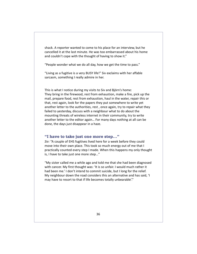shack. A reporter wanted to come to his place for an interview, but he cancelled it at the last minute. He was too embarrassed about his home and couldn't cope with the thought of having to show it."

"People wonder what we do all day, how we get the time to pass."

"Living as a fugitive is a very BUSY life!" Siv exclaims with her affable sarcasm, something I really admire in her.

This is what I notice during my visits to Siv and Björn's home: They bring in the firewood, rest from exhaustion, make a fire, pick up the mail, prepare food, rest from exhaustion, haul in the water, repair this or that, rest again, look for the papers they put somewhere to write yet another letter to the authorities, rest , once again, try to repair what they failed to yesterday, discuss with a neighbour what to do about the mounting threats of wireless internet in their community, try to write another letter to the editor again… For many days nothing at all can be done, the days just disappear in a haze.

#### **"I have to take just one more step…"**

*Siv:* "A couple of EHS fugitives lived here for a week before they could move into their own place. This took so much energy out of me that I practically counted every step I made. When this happens my only thought is, I have to take just one more step…"

"My sister called me a while ago and told me that she had been diagnosed with cancer. My first thought was: 'It is so unfair. I would much rather it had been me.' I don't intend to commit suicide, but I long for the relief. My neighbour down the road considers this an alternative and has said, 'I may have to resort to that if life becomes totally unbearable'."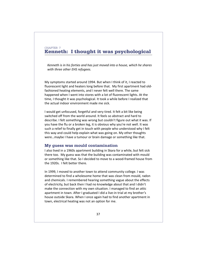## CHAPTER 7 **Kenneth: I thought it was psychological**

*Kenneth is in his forties and has just moved into a house, which he shares with three other EHS refugees.*

My symptoms started around 1994. But when I think of it, I reacted to fluorescent light and heaters long before that. My first apartment had oldfashioned heating elements, and I never felt well there. The same happened when I went into stores with a lot of fluorescent lights. At the time, I thought it was psychological. It took a while before I realized that the actual indoor environment made me sick.

I would get unfocused, forgetful and very tired. It felt a bit like being switched off from the world around. It feels so abstract and hard to describe. I felt something was wrong but couldn't figure out what it was. If you have the flu or a broken leg, it is obvious why you're not well. It was such a relief to finally get in touch with people who understood why I felt this way and could help explain what was going on. My other thoughts were…maybe I have a tumour or brain damage or something like that.

#### **My guess was mould contamination**

I also lived in a 1960s apartment building in Skara for a while, but felt sick there too. My guess was that the building was contaminated with mould or something like that. So I decided to move to a wood-framed house from the 1920s. I felt better there.

In 1999, I moved to another town to attend community college. I was determined to find a wholesome home that was clean from mould, radon and chemicals. I remembered hearing something vague about the effects of electricity, but back then I had no knowledge about that and I didn't make the connection with my own situation. I managed to find an attic apartment in town. After I graduated I did a live-in trial at my brother's house outside Skara. When I once again had to find another apartment in town, electrical heating was not an option for me.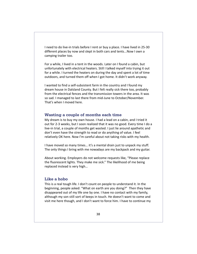I need to do live-in trials before I rent or buy a place. I have lived in 25-30 different places by now and slept in both cars and tents...Now I own a camping trailer too.

For a while, I lived in a tent in the woods. Later on I found a cabin, but unfortunately with electrical heaters. Still I talked myself into trying it out for a while. I turned the heaters on during the day and spent a lot of time outdoors, and turned them off when I got home. It didn't work anyway.

I wanted to find a self-subsistent farm in the country and I found my dream house in Dalsland County. But I felt really sick there too, probably from the electrical fences and the transmission towers in the area. It was so sad. I managed to last there from mid-June to October/November. That's when I moved here.

### **Wasting a couple of months each time**

My dream is to buy my own house. I had a lead on a cabin, and I tried it out for 2-3 weeks, but I soon realized that it was no good. Every time I do a live-in trial, a couple of months get wasted. I just lie around apathetic and don't even have the strength to read or do anything of value. I feel relatively OK here. Now I'm careful about not taking risks with my health.

I have moved so many times… it's a mental drain just to unpack my stuff. The only things I bring with me nowadays are my backpack and my guitar.

About working. Employers do not welcome requests like, "Please replace the fluorescent lights. They make me sick." The likelihood of me being replaced instead is very high…

## **Like a hobo**

This is a real tough life. I don't count on people to understand it. In the beginning, people asked: "What on earth are you doing?" Then they have disappeared out of my life one by one. I have no contact with my family, although my son still sort of keeps in touch. He doesn't want to come and visit me here though, and I don't want to force him. I have to continue my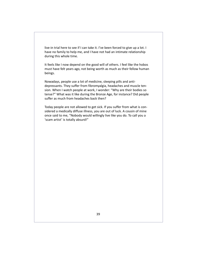live-in trial here to see if I can take it. I've been forced to give up a lot. I have no family to help me, and I have not had an intimate relationship during this whole time.

It feels like I now depend on the good will of others. I feel like the hobos must have felt years ago, not being worth as much as their fellow human beings.

Nowadays, people use a lot of medicine, sleeping pills and antidepressants. They suffer from fibromyalgia, headaches and muscle tension. When I watch people at work, I wonder: "Why are their bodies so tense?" What was it like during the Bronze Age, for instance? Did people suffer as much from headaches back then?

Today people are not allowed to get sick. If you suffer from what is considered a medically diffuse illness, you are out of luck. A cousin of mine once said to me, "Nobody would willingly live like you do. To call you a 'scam artist' is totally absurd!"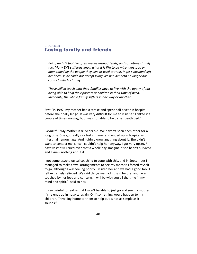## CHAPTER 8 **Losing family and friends**

*Being an EHS fugitive often means losing friends, and sometimes family too. Many EHS sufferers know what it is like to be misunderstood or abandoned by the people they love or used to trust. Inger's husband left her because he could not accept living like her. Kenneth no longer has contact with his family.*

*Those still in touch with their families have to live with the agony of not being able to help their parents or children in their time of need. Invariably, the whole family suffers in one way or another.*

*Eva:* "In 1992, my mother had a stroke and spent half a year in hospital before she finally let go. It was very difficult for me to visit her. I risked it a couple of times anyway, but I was not able to be by her death bed."

*Elisabeth:* "My mother is 88 years old. We haven't seen each other for a long time. She got really sick last summer and ended up in hospital with intestinal hemorrhage. And I didn't know anything about it. She didn't want to contact me, since I couldn't help her anyway. I got very upset. *I have to know!* I cried over that a whole day. Imagine if she hadn't survived and I knew nothing about it!

I got some psychological coaching to cope with this, and in September I managed to make travel arrangements to see my mother. I forced myself to go, although I was feeling poorly. I visited her and we had a good talk. I felt extremely relieved. We said things we hadn't said before, and I was touched by her love and concern. 'I will be with you all the time in my mind and spirit,' I said to her.

It's so painful to realize that I won't be able to just go and see my mother if she ends up in hospital again. Or if something would happen to my children. Travelling home to them to help out is not as simple as it sounds."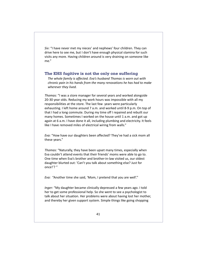*Siv:* "I have never met my nieces' and nephews' four children. They can drive here to see me, but I don't have enough physical stamina for such visits any more. Having children around is very draining on someone like me."

### **The EHS fugitive is not the only one suffering**

*The whole family is affected. Eva's husband Thomas is worn out with chronic pain in his hands from the many renovations he has had to make wherever they lived.*

*Thomas:* "I was a store manager for several years and worked alongside 20-30 year olds. Reducing my work hours was impossible with all my responsibilities at the store. The last few years were particularly exhausting. I left home around 7 a.m. and worked until 8-9 p.m. On top of that I had a long commute. During my time off I repaired and rebuilt our many homes. Sometimes I worked on the house until 1 a.m. and got up again at 6 a.m. I have done it all, including plumbing and electricity. It feels like I have removed miles of electrical wiring from walls."

*Eva:* "How have our daughters been affected? They've had a sick mom all these years."

*Thomas:* "Naturally, they have been upset many times, especially when Eva couldn't attend events that their friends' moms were able to go to. One time when Eva's brother and brother-in-law visited us, our oldest daughter blurted out: 'Can't you talk about something else? Just for once!'? "

*Eva:* "Another time she said, 'Mom, I pretend that you are well'."

*Inger:* "My daughter became clinically depressed a few years ago. I told her to get some professional help. So she went to see a psychologist to talk about her situation. Her problems were about having lost her mother, and thereby her given support system. Simple things like going shopping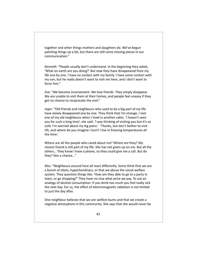together and other things mothers and daughters do. We've begun patching things up a bit, but there are still some missing pieces in our communication."

*Kenneth:* "People usually don't understand. In the beginning they asked, 'What on earth are you doing?' But now they have disappeared from my life one by one. I have no contact with my family. I have some contact with my son, but he really doesn't want to visit me here, and I don't want to force him."

*Eva:* "We become inconvenient. We lose friends. They simply disappear. We are unable to visit them at their homes, and people feel uneasy if they get no chance to reciprocate the visit."

*Inger:* "Old friends and neighbours who used to be a big part of my life have slowly disappeared one by one. They think that I'm strange. I met one of my old neighbours when I lived in another cabin. 'I haven't seen you for such a long time', she said. 'I was thinking of visiting you but it's so cold. I'm worried about my leg pains.' 'Thanks, but don't bother to visit. Oh, and where do you imagine I hurt? I live in freezing temperatures all the time.'

Where are all the people who cared about me? Where *are* they? My closest friend is still part of my life. She has not given up on me. But all the others… They know I have a phone, so they could give me a call. But do they? Not a chance…"

*Klas:* "Neighbours around here all react differently. Some think that we are a bunch of idiots, hypochondriacs, or that we abuse the social welfare system. They question things like: 'How are they able to go to a party in town, or go shopping?' They have no clue what price we pay. To use an analogy of alcohol consumption: If you drink too much you feel really sick the next day. For us, the effect of electromagnetic radiation is not limited to just the day after.

One neighbour believes that we are welfare bums and that we create a negative atmosphere in this community. She says that she would never be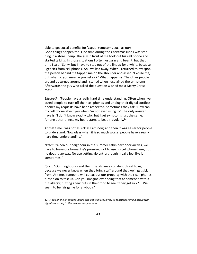able to get social benefits for 'vague' symptoms such as ours. Good things happen too. One time during the Christmas rush I was standing in a store lineup. The guy in front of me took out his cell phone and started talking. In those situations I often just grin and bear it, but that time I said: 'Sorry, but I have to step out of the lineup for a while, because I get sick from cell phones.' So I walked away. When I returned to my spot, the person behind me tapped me on the shoulder and asked: 'Excuse me, but what do you mean – you get sick? What happens?' The other people around us turned around and listened when I explained the symptoms. Afterwards the guy who asked the question wished me a Merry Christmas."

*Elisabeth:* "People have a really hard time understanding. Often when I've asked people to turn off their cell phones and unplug their digital cordless phones my requests have been respected. Sometimes they ask, 'How can my cell phone affect you when I'm not even using it?' The only answer I have is, 'I don't know exactly why, but I get symptoms just the same.' Among other things, my heart starts to beat irregularly.<sup>17</sup>

At that time I was not as sick as I am now, and then it was easier for people to understand. Nowadays when it is so much worse, people have a really hard time understanding."

*Naser:* "When our neighbour in the summer cabin next door arrives, we have to leave our home. He's promised not to use his cell phone here, but he does it anyway. No use getting violent, although I really feel like it sometimes!"

*Björn:* "Our neighbours and their friends are a constant threat to us, because we never know when they bring stuff around that we'll get sick from. At times someone will cut across our property with their cell phones turned on to test us. Can you imagine ever doing that to someone with a nut allergy; putting a few nuts in their food to see if they get sick? … We seem to be fair game for anybody."

*17. A cell phone in 'snooze' mode also emits microwaves. Its functions remain active with signals radiating to the nearest relay antenna.*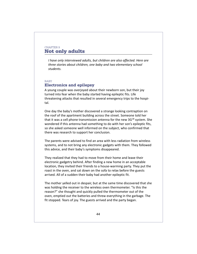## CHAPTER 9 **Not only adults**

*I have only interviewed adults, but children are also affected. Here are three stories about children, one baby and two elementary school students.*

#### BABY

## **Electronics and epilepsy**

A young couple was overjoyed about their newborn son, but their joy turned into fear when the baby started having epileptic fits. Life threatening attacks that resulted in several emergency trips to the hospital.

One day the baby's mother discovered a strange looking contraption on the roof of the apartment building across the street. Someone told her that it was a cell phone transmission antenna for the new  $3G^{18}$  system. She wondered if this antenna had something to do with her son's epileptic fits, so she asked someone well informed on the subject, who confirmed that there was research to support her conclusion.

The parents were advised to find an area with less radiation from wireless systems, and to not bring any electronic gadgets with them. They followed this advice, and their baby's symptoms disappeared.

They realized that they had to move from their home and leave their electronic gadgetry behind. After finding a new home in an acceptable location, they invited their friends to a house-warming party. They put the roast in the oven, and sat down on the sofa to relax before the guests arrived. All of a sudden their baby had another epileptic fit.

The mother yelled out in despair, but at the same time discovered that she was holding the receiver to the wireless oven thermometer. "Is this the reason?" she thought and quickly pulled the thermometer out of the oven, emptied out the batteries and threw everything in the garbage. The fit stopped. Tears of joy. The guests arrived and the party began.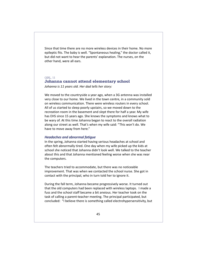Since that time there are no more wireless devices in their home. No more epileptic fits. The baby is well. "Spontaneous healing," the doctor called it, but did not want to hear the parents' explanation. The nurses, on the other hand, were all ears.

#### GIRL, 11

### **Johanna cannot attend elementary school**

*Johanna is 11 years old. Her dad tells her story:*

We moved to the countryside a year ago, when a 3G antenna was installed very close to our home. We lived in the town centre, in a community sold on wireless communication. There were wireless routers in every school. All of us started to sleep poorly upstairs, so we moved down to the recreation room in the basement and slept there for half a year. My wife has EHS since 15 years ago. She knows the symptoms and knows what to be wary of. At this time Johanna began to react to the overall radiation along our street as well. That's when my wife said: "This won't do. We have to move away from here."

#### *Headaches and abnormal fatigue*

In the spring, Johanna started having serious headaches at school and often felt abnormally tired. One day when my wife picked up the kids at school she noticed that Johanna didn't look well. We talked to the teacher about this and that Johanna mentioned feeling worse when she was near the computers.

The teachers tried to accommodate, but there was no noticeable improvement. That was when we contacted the school nurse. She got in contact with the principal, who in turn told her to ignore it.

During the fall term, Johanna became progressively worse. It turned out that the old computers had been replaced with wireless laptops. I made a fuss and the school staff became a bit anxious. Her teacher took on the task of calling a parent-teacher meeting. The principal participated, but concluded: "I believe there is something called electrohypersensitivity, but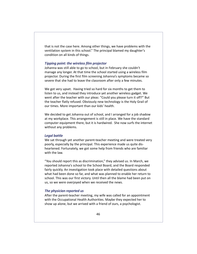that is not the case here. Among other things, we have problems with the ventilation system in this school." The principal blamed my daughter's condition on all kinds of things.

#### *Tipping point: the wireless film projector*

Johanna was still able to go to school, but in February she couldn't manage any longer. At that time the school started using a wireless film projector. During the first film screening Johanna's symptoms became so severe that she had to leave the classroom after only a few minutes.

We got very upset. Having tried so hard for six months to get them to listen to us, and instead they introduce yet another wireless gadget. We went after the teacher with our pleas: "Could you please turn it off?" But the teacher flatly refused. Obviously new technology is the Holy Grail of our times. More important than our kids' health.

We decided to get Johanna out of school, and I arranged for a job shadow at my workplace. This arrangement is still in place. We have the standard computer equipment there, but it is hardwired. She now surfs the internet without any problems.

#### *Legal battle*

We sat through yet another parent-teacher meeting and were treated very poorly, especially by the principal. This experience made us quite disheartened. Fortunately, we got some help from friends who are familiar with the law.

"You should report this as discrimination," they advised us. In March, we reported Johanna's school to the School Board, and the Board responded fairly quickly. An investigation took place with detailed questions about what had been done so far, and what was planned to enable her return to school. This was our first victory. Until then all the blame had been put on us, so we were overjoyed when we received the news.

#### *The physician reported us*

After the parent-teacher meeting, my wife was called for an appointment with the Occupational Health Authorities. Maybe they expected her to show up alone, but we arrived with a friend of ours, a psychologist.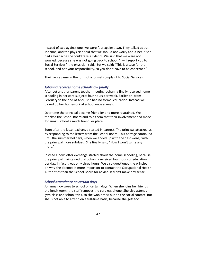Instead of two against one, we were four against two. They talked about Johanna, and the physician said that we should not worry about her. If she had a headache she could take a Tylenol. We said that we were not worried, because she was not going back to school. "l will report you to Social Services," the physician said. But we said: "This is a case for the school, and not your responsibility, so you don't have to be concerned."

Their reply came in the form of a formal complaint to Social Services.

#### *Johanna receives home schooling – finally*

After yet another parent-teacher meeting, Johanna finally received home schooling in her core subjects four hours per week. Earlier on, from February to the end of April, she had no formal education. Instead we picked up her homework at school once a week.

Over time the principal became friendlier and more restrained. We thanked the School Board and told them that their involvement had made Johanna's school a much friendlier place.

Soon after the letter exchange started in earnest. The principal attacked us by responding to the letters from the School Board. This barrage continued until the summer holidays, when we ended up with the 'last word,' with the principal more subdued. She finally said, "Now I won't write any more."

Instead a new letter exchange started about the home schooling, because the principal maintained that Johanna received four hours of education per day. In fact it was only three hours. We also questioned the principal on why she deemed it more important to contact the Occupational Health Authorities than the School Board for advice. It didn't make any sense.

#### *School attendance on certain days*

Johanna now goes to school on certain days. When she joins her friends in the lunch room, the staff removes the cordless phone. She also attends gym class and school trips, so she won't miss out on the social contact. But she is not able to attend on a full-time basis, because she gets too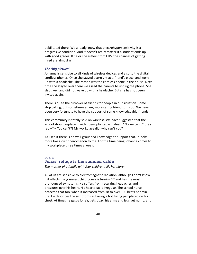debilitated there. We already know that electrohypersensitivity is a progressive condition. And it doesn't really matter if a student ends up with good grades. If he or she suffers from EHS, the chances of getting hired are almost nil.

#### *The 'big picture'*

Johanna is sensitive to all kinds of wireless devices and also to the digital cordless phones. Once she stayed overnight at a friend's place, and woke up with a headache. The reason was the cordless phone in the house. Next time she stayed over there we asked the parents to unplug the phone. She slept well and did not wake up with a headache. But she has not been invited again.

There is quite the turnover of friends for people in our situation. Some stop calling, but sometimes a new, more caring friend turns up. We have been very fortunate to have the support of some knowledgeable friends.

This community is totally sold on wireless. We have suggested that the school should replace it with fiber-optic cable instead. "No we can't," they reply." – You can't?! My workplace did, why can't you?

As I see it there is no well-grounded knowledge to support that. It looks more like a cult phenomenon to me. For the time being Johanna comes to my workplace three times a week.

#### BOY, 11

#### **Jonas' refuge is the summer cabin**

*The mother of a family with four children tells her story:*

All of us are sensitive to electromagnetic radiation, although I don't know if it affects my youngest child. Jonas is turning 12 and has the most pronounced symptoms. He suffers from recurring headaches and pressures over his heart. His heartbeat is irregular. The school nurse detected that too, when it increased from 78 to over 100 beats per minute. He describes the symptoms as having a hot frying pan placed on his chest. At times he gasps for air, gets dizzy, his arms and legs get numb, and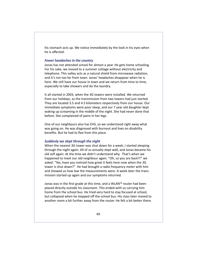his stomach acts up. We notice immediately by the look in his eyes when he is affected.

#### *Fewer headaches in the country*

Jonas has not attended school for almost a year. He gets home schooling. For his sake, we moved to a summer cottage without electricity and telephone. This valley acts as a natural shield from microwave radiation, and it's not too far from town. Jonas' headaches disappear when he is here. We still have our house in town and we return from time to time, especially to take showers and do the laundry.

It all started in 2003, when the 3G towers were installed. We returned from our holidays, as the transmission from two towers had just started. They are located 3.5 and 4.5 kilometers respectively from our house. Our immediate symptoms were poor sleep, and our 7 year old daughter kept waking up screaming in the middle of the night. She had never done that before. She complained of pains in her legs.

One of our neighbours also has EHS, so we understood right away what was going on. He was diagnosed with burnout and lives on disability benefits. But he had to flee from this place.

#### *Suddenly we slept through the night*

When the nearest 3G tower was shut down for a week, I started sleeping through the night again. All of us actually slept well, and Jonas became his old self again. At the time we didn't understand why. That's when we happened to meet our old neighbour again. "Oh, so you are back?!" we asked. "Yes, have you noticed how great it feels here now when the 3G tower is shut down?" He had brought a radio frequency meter with him and showed us how low the measurements were. A week later the transmission started up again and our symptoms returned.

Jonas was in the first grade at this time, and a WLAN<sup>19</sup> router had been placed directly outside his classroom. This ended with us carrying him home from the school bus. He tried very hard to stay focused at school, but collapsed when he stepped off the school bus. His class later moved to another room a bit further away from the router. He felt a bit better there.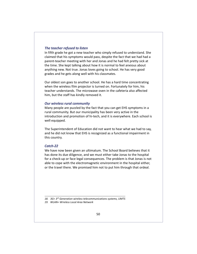#### *The teacher refused to listen*

In fifth grade he got a new teacher who simply refused to understand. She claimed that his symptoms would pass, despite the fact that we had had a parent-teacher meeting with her and Jonas and he had felt pretty sick at the time. She kept talking about how it is normal to feel anxious about anything new. Not true. Jonas loves going to school. He has very good grades and he gets along well with his classmates.

Our oldest son goes to another school. He has a hard time concentrating when the wireless film projector is turned on. Fortunately for him, his teacher understands. The microwave oven in the cafeteria also affected him, but the staff has kindly removed it.

#### *Our wireless rural community*

Many people are puzzled by the fact that you can get EHS symptoms in a rural community. But our municipality has been very active in the introduction and promotion of hi-tech, and it is everywhere. Each school is well equipped.

The Superintendent of Education did not want to hear what we had to say, and he did not know that EHS is recognized as a functional impairment in this country.

#### *Catch-22*

We have now been given an ultimatum. The School Board believes that it has done its due diligence, and we must either take Jonas to the hospital for a check-up or face legal consequences. The problem is that Jonas is not able to cope with the electromagnetic environment in the hospital either, or the travel there. We promised him not to put him through that ordeal.

*18. 3G= 3rd Generation wireless telecommunications systems, UMTS*

*19. WLAN= Wireless Local Area Network*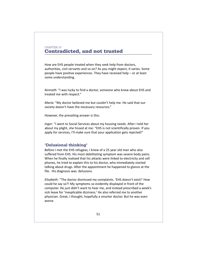## CHAPTER 10 **Contradicted, and not trusted**

How are EHS people treated when they seek help from doctors, authorities, civil servants and so on? As you might expect, it varies. Some people have positive experiences. They have received help – or at least some understanding*.*

*Kenneth:* "I was lucky to find a doctor, someone who knew about EHS and treated me with respect."

*Maria:* "My doctor believed me but couldn't help me. He said that our society doesn't have the necessary resources."

However, the prevailing answer is this:

*Inger:* "I went to Social Services about my housing needs. After I told her about my plight, she hissed at me: "EHS is not scientifically proven. If you apply for services, I'll make sure that your application gets rejected!"

## **'Delusional thinking'**

Before I met the EHS refugees, I knew of a 25 year old man who also suffered from EHS. His most debilitating symptom was severe body pains. When he finally realized that his attacks were linked to electricity and cell phones, he tried to explain this to his doctor, who immediately started talking about drugs. After the appointment he happened to glance at the file. His diagnosis was: delusions.

*Elisabeth:* "The doctor dismissed my complaints. 'EHS doesn't exist!' How could he say so?! My symptoms so evidently displayed in front of the computer. He just didn't want to hear me, and instead prescribed a week's sick leave for 'inexplicable dizziness.' He also referred me to another physician. Great, I thought, hopefully a smarter doctor. But he was even worse.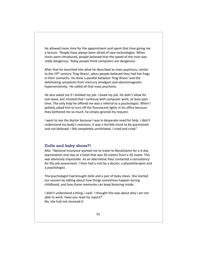He allowed more time for the appointment and spent that time giving me a lecture. 'People have always been afraid of new technologies. When trains were introduced, people believed that the speed of the train was really dangerous. Today people think computers are dangerous.'

After that he launched into what he described as mass psychosis, similar to the 19<sup>th</sup> century 'frog illness', when people believed they had live frogs in their stomachs. He drew a parallel between 'frog illness' and the debilitating symptoms from mercury amalgam and electromagnetic hypersensitivity. He called all that mass psychosis.

He also asked me if I disliked my job. I loved my job. He didn't allow for sick leave, but insisted that I continue with computer work, at least parttime. The only help he offered me was a referral to a psychologist. When I politely asked him to turn off the fluorescent lights in his office because they bothered me so much, he simply ignored my request.

I went to see the doctor because I was in desperate need for help. I didn't understand my body's reactions. It was a terrible insult to be questioned and not believed. I felt completely unnihilated. I cried and cried."

### **Dolls and baby shoes?!**

*Mia:* "National Insurance wanted me to travel to Nynäshamn for a 4-day examination and stay at a hotel that was 50 meters from a 3G tower. This was obviously impossible. As an alternative they contacted a consultancy for the job assessment. I then had a visit by a doctor, a physiotherapist and a psychologist.

The psychologist had brought dolls and a pair of baby shoes. She started our session by talking about how things sometimes happen during childhood, and how these memories can keep festering inside.

I didn't understand a thing. I said: 'I thought this was about why I am not able to work. Have you read my report?' No, she had not received it.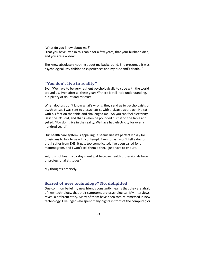'What do you know about me?'

'That you have lived in this cabin for a few years, that your husband died, and you are a widow.'

She knew absolutely nothing about my background. She presumed it was psychological. My childhood experiences and my husband's death…"

### **"You don't live in reality"**

*Eva:* "We have to be very resilient psychologically to cope with the world around us. Even after all these years,<sup>20</sup> there is still little understanding, but plenty of doubt and mistrust.

When doctors don't know what's wrong, they send us to psychologists or psychiatrists. I was sent to a psychiatrist with a bizarre approach. He sat with his feet on the table and challenged me: 'So you can feel electricity. Describe it!' I did, and that's when he pounded his fist on the table and yelled: 'You don't live in the reality. We have had electricity for over a hundred years!'

Our health care system is appalling. It seems like it's perfectly okay for physicians to talk to us with contempt. Even today I won't tell a doctor that I suffer from EHS. It gets too complicated. I've been called for a mammogram, and I won't tell them either. I just have to endure.

Yet, it is not healthy to stay silent just because health professionals have unprofessional attitudes."

My thoughts precisely.

## **Scared of new technology? No, delighted**

One common belief my new friends constantly hear is that they are afraid of new technology, that their symptoms are psychological. My interviews reveal a different story. Many of them have been totally immersed in new technology. Like Inger who spent many nights in front of the computer, or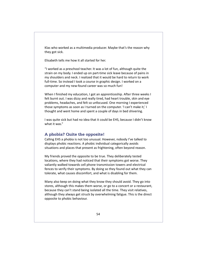Klas who worked as a multimedia producer. Maybe that's the reason why they got sick.

Elisabeth tells me how it all started for her.

"I worked as a preschool teacher. It was a lot of fun, although quite the strain on my body. I ended up on part-time sick leave because of pains in my shoulders and neck. I realized that it would be hard to return to work full-time. So instead I took a course in graphic design. I worked on a computer and my new-found career was so much fun!

When I finished my education, I got an apprenticeship. After three weeks I felt burnt out. I was dizzy and really tired, had heart trouble, skin and eye problems, headaches, and felt so unfocused. One morning I experienced those symptoms as soon as I turned on the computer. 'I can't make it,' I thought and went home and spent a couple of days in bed shivering.

I was quite sick but had no idea that it could be EHS, because I didn't know what it was."

## **A phobia? Quite the opposite!**

Calling EHS a phobia is not too unusual. However, nobody I've talked to displays phobic reactions. A phobic individual categorically avoids situations and places that present as frightening, often beyond reason.

My friends proved the opposite to be true. They deliberately tested locations, where they had noticed that their symptoms got worse. They valiantly walked towards cell phone transmission towers and electrical fences to verify their symptoms. By doing so they found out what they can tolerate, what causes discomfort, and what is disabling for them.

Many also keep on doing what they know they should avoid. They go into stores, although this makes them worse, or go to a concert or a restaurant, because they can't stand being isolated all the time. They visit relatives, although they always get struck by overwhelming fatigue. This is the direct opposite to phobic behaviour.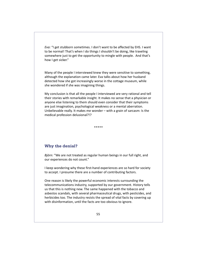*Eva:* "I get stubborn sometimes. I don't want to be affected by EHS. I want to be normal! That's when I do things I shouldn't be doing, like traveling somewhere just to get the opportunity to mingle with people. And that's how I get sicker."

Many of the people I interviewed knew they were sensitive to something, although the explanation came later. Eva talks about how her husband detected how she got increasingly worse in the cottage museum, while she wondered if she was imagining things.

My conclusion is that all the people I interviewed are very rational and tell their stories with remarkable insight. It makes no sense that a physician or anyone else listening to them should even consider that their symptoms are just imagination, psychological weakness or a mental aberration. Unbelievable really. It makes me wonder – with a grain of sarcasm: Is the medical profession delusional?!?

\*\*\*\*\*

## **Why the denial?**

*Björn:* "We are not treated as regular human beings in our full right, and our experiences do not count."

I keep wondering why these first-hand experiences are so hard for society to accept. I presume there are a number of contributing factors.

One reason is likely the powerful economic interests surrounding the telecommunications industry, supported by our government. History tells us that this is nothing new. The same happened with the tobacco and asbestos scandals, with several pharmaceutical drugs, with pesticides, and herbicides too. The industry resists the spread of vital facts by covering up with disinformation, until the facts are too obvious to ignore.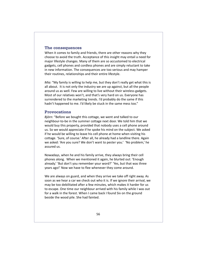#### **The consequences**

When it comes to family and friends, there are other reasons why they choose to avoid the truth. Acceptance of this insight may entail a need for major lifestyle changes. Many of them are so accustomed to electrical gadgets, cell phones and cordless phones and are simply reluctant to take in new information. The consequences are too serious and may hamper their routines, relationships and their entire lifestyle.

*Mia:* "My family is willing to help me, but they don't really get what this is all about. It is not only the industry we are up against, but all the people around us as well. Few are willing to live without their wireless gadgets. Most of our relatives won't, and that's very hard on us. Everyone has surrendered to the marketing trends. I'd probably do the same if this hadn't happened to me. I'd likely be stuck in the same mess too."

#### **Provocations**

*Björn:* "Before we bought this cottage, we went and talked to our neighbour-to-be in the summer cottage next door. We told him that we would buy this property, provided that nobody uses a cell phone around us. So we would appreciate if he spoke his mind on the subject. We asked if he would be willing to leave his cell phone at home when visiting his cottage. 'Sure, of course.' After all, he already had a landline there. Again we asked: 'Are you sure? We don't want to pester you.' 'No problem,' he assured us.

Nowadays, when he and his family arrive, they always bring their cell phones along. When we mentioned it again, he blurted out: 'Enough already.' 'But don't you remember your word?' 'Yes, but that was three years ago!' Now we have to flee whenever they come around.

We are always on guard, and when they arrive we take off right away. As soon as we hear a car we check out who it is. If we ignore their arrival, we may be too debilitated after a few minutes, which makes it harder for us to escape. One time our neighbour arrived with his family while I was out for a walk in the forest. When I came back I found Siv on the ground beside the wood pile. She had fainted.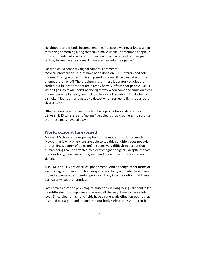Neighbours and friends become 'enemies', because we never know when they bring something along that could make us sick. Sometimes people in our community cut across our property with activated cell phones just to test us, to see if we really react!! We are treated as fair game."

*Siv,* who could sense my digital camera, comments:

"Several provocation studies have been done on EHS sufferers and cell phones. This type of testing is supposed to reveal if we can detect if the phones are on or off. The problem is that these laboratory studies are carried out in locations that are already heavily infested for people like us. When I go into town I don't notice right way when someone turns on a cell phone, because I already feel sick by the overall radiation. It's like being in a smoke-filled room and asked to detect when someone lights up another cigarette."21

Other studies have focused on identifying psychological differences between EHS sufferers and 'normal' people. It should come as no surprise that these tests have failed.<sup>22</sup>

### **World concept threatened**

Maybe EHS threatens our perception of the modern world too much. Maybe that is why physicians are able to say this condition does not exist, or that EHS is a form of delusion? It seems very difficult to accept that human beings can be affected by electromagnetic signals, despite the fact that our body, heart, nervous system and brain in fact function on such signals.

Also EKG and EEG are electrical phenomena. And although other forms of electromagnetic waves, such as x-rays, radioactivity and radar have been proved extremely detrimental, people still buy into the notion that these particular waves are harmless.

Fact remains that the physiological functions in living beings are controlled by subtle electrical impulses and waves, all the way down to the cellular level. Since electromagnetic fields have a synergistic effect on each other, it should be easy to understand that our body's electrical system can be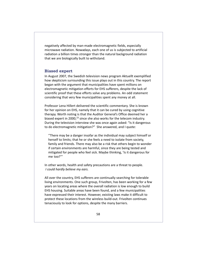negatively affected by man-made electromagnetic fields, especially microwave radiation. Nowadays, each one of us is subjected to artificial radiation a billion times stronger than the natural background radiation that we are biologically built to withstand.

### **Biased expert**

In August 2007, the Swedish television news program Aktuellt exemplified how skepticism surrounding this issue plays out in this country. The report began with the argument that municipalities have spent millions on electromagnetic mitigation efforts for EHS sufferers, despite the lack of scientific proof that these efforts solve any problems. An odd statement considering that very few municipalities spent any money at all.

Professor Lena Hillert delivered the scientific commentary. She is known for her opinion on EHS, namely that it can be cured by using cognitive therapy. Worth noting is that the Auditor General's Office deemed her a biased expert in 2000, $^{23}$  since she also works for the telecom industry. During the television interview she was once again asked: "Is it dangerous to do electromagnetic mitigation?" She answered, and I quote:

"There may be a danger insofar as the individual may subject himself or herself to limits; that he or she feels a need to isolate from society, family and friends. There may also be a risk that others begin to wonder if certain environments are harmful, since they are being tested and mitigated for people who feel sick. Maybe thinking, 'Is it dangerous for me too?'"

In other words, health and safety precautions are a threat to people. *I could hardly believe my ears.*

All over the country, EHS sufferers are continually searching for tolerable living environments. One such group, Frivolten, has been working for a few years on locating areas where the overall radiation is low enough to build EHS housing. Suitable areas have been found, and a few municipalities have expressed their interest. However, existing laws make it difficult to protect these locations from the wireless build-out. Frivolten continues tenaciously to look for options, despite the many barriers.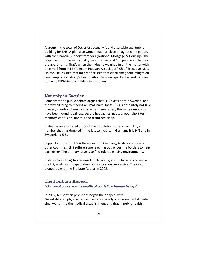A group in the town of Degerfors actually found a suitable apartment building for EHS. A plan also went ahead for electromagnetic mitigation, with the financial support from SBO (National Mortgage & Housing). The response from the municipality was positive, and 150 people applied for the apartments. That's when the Industry weighed in on the matter with an e-mail from MTB (Telecom Industry Association) Chief Executive Mats Holme. He insisted that no proof existed that electromagnetic mitigation could improve anybody's health. Alas, the municipality changed its position – no EHS-friendly building in this town.

## **Not only in Sweden**

Sometimes the public debate argues that EHS exists only in Sweden, and thereby alluding to it being an imaginary illness. This is absolutely not true. In every country where this issue has been raised, the same symptoms have been found: dizziness, severe headaches, nausea, poor short-term memory, confusion, tinnitus and disturbed sleep.

In Austria an estimated 3,5 % of the population suffers from EHS, a number that has doubled in the last ten years. In Germany it is 9 % and in Switzerland 5 %.

Support groups for EHS sufferers exist in Germany, Austria and several other countries. EHS sufferers are reaching out across the borders to help each other. The primary issue is to find tolerable living environments.

Irish doctors (IDEA) has released public alerts, and so have physicians in the US, Austria and Japan. German doctors are very active. They also pioneered with the Freiburg Appeal in 2002.

#### **The Freiburg Appeal:**

*"Our great concern – the health of our fellow human beings"*

In 2002, 60 German physicians began their appeal with: "As established physicians in all fields, especially in environmental medicine, we turn to the medical establishment and that in public health,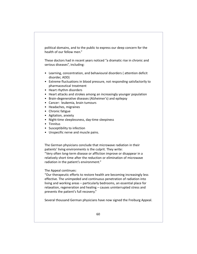political domains, and to the public to express our deep concern for the health of our fellow men."

These doctors had in recent years noticed "a dramatic rise in chronic and serious diseases", including:

- Learning, concentration, and behavioural disorders ( attention deficit disorder, ADD)
- Extreme fluctuations in blood pressure, not responding satisfactorily to pharmaceutical treatment
- Heart rhythm disorders
- Heart attacks and strokes among an increasingly younger population
- Brain-degenerative diseases (Alzheimer's) and epilepsy
- Cancer: leukemia, brain tumours
- Headaches, migraines
- Chronic fatigue
- Agitation, anxiety
- Night-time sleeplessness, day-time sleepiness
- Tinnitus
- Susceptibility to infection
- Unspecific nerve and muscle pains.

The German physicians conclude that microwave radiation in their patients' living environments is the culprit. They write:

"Very often long-term disease or affliction improve or disappear in a relatively short time after the reduction or elimination of microwave radiation in the patient's environment."

The Appeal continues:

"Our therapeutic efforts to restore health are becoming increasingly less effective. The unimpeded and continuous penetration of radiation into living and working areas – particularly bedrooms, an essential place for relaxation, regeneration and healing – causes uninterrupted stress and prevents the patient's full recovery."

Several thousand German physicians have now signed the Freiburg Appeal.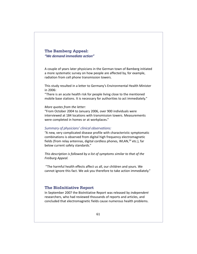## **The Bamberg Appeal:** *"We demand immediate action"*

A couple of years later physicians in the German town of Bamberg initiated a more systematic survey on how people are affected by, for example, radiation from cell phone transmission towers.

This study resulted in a letter to Germany's Environmental Health Minister in 2006:

"There is an acute health risk for people living close to the mentioned mobile base stations. It is necessary for authorities to act immediately."

#### *More quotes from the letter:*

"From October 2004 to January 2006, over 900 individuals were interviewed at 184 locations with transmission towers. Measurements were completed in homes or at workplaces."

#### *Summary of physicians' clinical observations:*

"A new, very complicated disease profile with characteristic symptomatic combinations is observed from digital high frequency electromagnetic fields (from relay antennas, digital cordless phones, WLAN,<sup>24</sup> etc.), far below current safety standards."

*This description is followed by a list of symptoms similar to that of the Freiburg Appeal.*

 "The harmful health effects affect us all, our children and yours. We cannot ignore this fact. We ask you therefore to take action immediately."

#### **The BioInitiative Report**

In September 2007 the BioInitiative Report was released by *independent* researchers, who had reviewed thousands of reports and articles, and concluded that electromagnetic fields cause numerous health problems.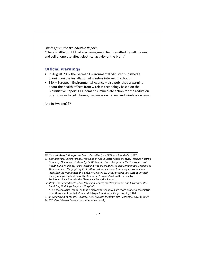#### *Quotes from the BioInitiative Report:*

"There is little doubt that electromagnetic fields emitted by cell phones and cell phone use affect electrical activity of the brain."

#### **Official warnings**

- In August 2007 the German Environmental Minister published a warning on the installation of wireless internet in schools.
- EEA European Environmental Agency also published a warning about the health effects from wireless technology based on the BioInitiative Report. EEA demands immediate action for the reduction of exposures to cell phones, transmission towers and wireless systems.

And in Sweden???

- *20. Swedish Association for the ElectroSensitive (aka FEB) was founded in 1987.*
- *21. Commentary: Excerpt from Swedish book* About Elctrohypersensitivity *Hélène Aastrup-Samuels): One research study by Dr W. Rea and his colleagues at the Environmental Health Clinic in Dallas, Texas tested individual sensitivity to electromagnetic frequencies. They examined the pupils of EHS sufferers during various frequency exposures and identified the frequencies the subjects reacted to. Other provocation tests confirmed these findings.* Evaluation of the Anatomic Nervous System Response by Pupillographical Study in the Chemically Sensitive Patient.
- *22. Professor Bengt Arnetz, Chief Physician, Centre for Occupational and Environmental Medicine, Huddinge Regional Hospital:* "The psychological model or that electrohypersensitives are more prone to psychiatric
	- conditions is unfounded. *Cancer & Allergy Foundation Magazine, #1, 1996.*
- *23. In connection to the RALF survey, 1997 (Council for Work Life Research). Now defunct.*
- *24. Wireless internet (Wireless Local Area Network)*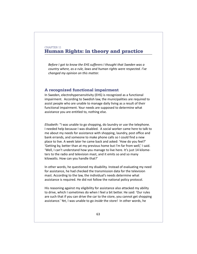## CHAPTER 11 **Human Rights: in theory and practice**

*Before I got to know the EHS sufferers I thought that Sweden was a country where, as a rule, laws and human rights were respected. I've changed my opinion on this matter.*

### **A recognized functional impairment**

In Sweden, electrohypersensitivity (EHS) is recognized as a functional impairment. According to Swedish law, the municipalities are required to assist people who are unable to manage daily living as a result of their functional impairment. Your needs are supposed to determine what assistance you are entitled to, nothing else.

*Elisabeth:* "I was unable to go shopping, do laundry or use the telephone. I needed help because I was disabled. A social worker came here to talk to me about my needs for assistance with shopping, laundry, post office and bank errands, and someone to make phone calls so I could find a new place to live. A week later he came back and asked: 'How do you feel?' 'Getting by, better than at my previous home but I'm far from well,' I said. 'Well, I can't understand how you manage to live here. It's just 14 kilometers to the radio and television mast, and it emits so and so many kilowatts. How can you handle that?'

In other words, he questioned my disability. Instead of evaluating my need for assistance, he had checked the transmission data for the television mast. According to the law, the individual's needs determine what assistance is required. He did not follow the national policy protocol.

His reasoning against my eligibility for assistance also attacked my ability to drive, which I sometimes do when I feel a bit better. He said: 'Our rules are such that if you can drive the car to the store, you cannot get shopping assistance.' Yet, I was unable to go *inside* the store! In other words, he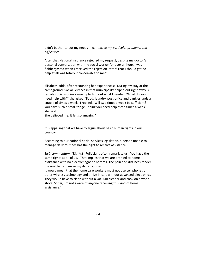didn't bother to put my needs in context to *my particular problems and difficulties.*

After that National Insurance rejected my request, despite my doctor's personal conversation with the social worker for over an hour. I was flabbergasted when I received the rejection letter! That I should get no help at all was totally inconceivable to me."

Elisabeth adds, after recounting her experiences: "During my stay at the campground, Social Services in that municipality helped out right away. A female social worker came by to find out what I needed. 'What do you need help with?' she asked. 'Food, laundry, post office and bank errands a couple of times a week,' I replied. 'Will two times a week be sufficient? You have such a small fridge. I think you need help three times a week', she said.

She believed me. It felt so amazing."

It is appalling that we have to argue about basic human rights in our country.

According to our national Social Services legislation, a person unable to manage daily routines has the right to receive assistance.

*Siv's commentary:* "Rights?! Politicians often remark to us: 'You have the same rights as all of us.' That implies that we are entitled to home assistance with no electromagnetic hazards. The pain and dizziness render me unable to manage my daily routines.

It would mean that the home care workers must not use cell phones or other wireless technology and arrive in cars without advanced electronics. They would have to clean without a vacuum cleaner and cook on a wood stove. So far, I'm not aware of anyone receiving this kind of home assistance."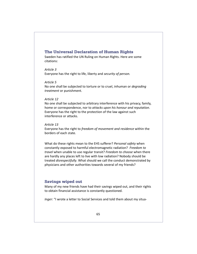## **The Universal Declaration of Human Rights**

Sweden has ratified the UN Ruling on Human Rights. Here are some citations:

### *Article 3*

Everyone has the right to life, liberty and *security of person.*

#### *Article 5*

No one shall be subjected to torture or to cruel, inhuman or *degrading treatment* or punishment.

#### *Article 12*

No one shall be subjected to arbitrary interference with his privacy, family, home or correspondence, nor to *attacks upon his honour and reputation*. Everyone has the right to the protection of the law against such interference or attacks.

#### *Article 13*

Everyone has the right to *freedom of movement and residence* within the borders of each state.

What do these rights mean to the EHS sufferer? *Personal safety* when constantly exposed to harmful electromagnetic radiation? *Freedom to travel* when unable to use regular transit? *Freedom to choose* when there are hardly any places left to live with low radiation? Nobody should be treated *disrespectfully*. What should we call the conduct demonstrated by physicians and other authorities towards several of my friends?

## **Savings wiped out**

Many of my new friends have had their savings wiped out, and their rights to obtain financial assistance is constantly questioned.

*Inger:* "I wrote a letter to Social Services and told them about my situa-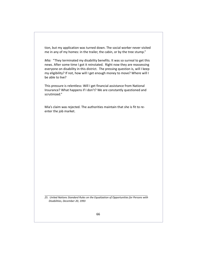tion, but my application was turned down. The social worker never visited me in any of my homes: in the trailer, the cabin, or by the tree stump."

*Mia:* "They terminated my disability benefits. It was so surreal to get this news. After some time I got it reinstated. Right now they are reassessing everyone on disability in this district. The pressing question is, will I keep my eligibility? If not, how will I get enough money to move? Where will I be able to live?

This pressure is relentless: Will I get financial assistance from National Insurance? What happens if I don't? We are constantly questioned and scrutinized."

Mia's claim was rejected. The authorities maintain that she is fit to reenter the job market.

*25. United Nations Standard Rules on the Equalization of Opportunities for Persons with Disabilities, December 20, 1993*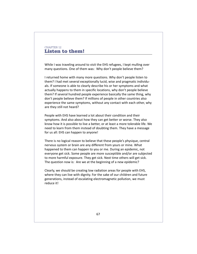## CHAPTER 12 **Listen to them!**

While I was traveling around to visit the EHS refugees, I kept mulling over many questions. One of them was: Why don't people believe them?

I returned home with many more questions. Why don't people listen to them? I had met several exceptionally lucid, wise and pragmatic individuals. If someone is able to clearly describe his or her symptoms and what actually happens to them in specific locations, why don't people believe them? If several hundred people experience basically the same thing, why don't people believe them? If millions of people in other countries also experience the same symptoms, without any contact with each other, why are they still not heard?

People with EHS have learned a lot about their condition and their symptoms. And also about how they can get better or worse. They also know how it is possible to live a better, or at least a more tolerable life. We need to learn from them instead of doubting them. They have a message for us all: EHS can happen to anyone!

There is no logical reason to believe that these people's physique, central nervous system or brain are any different from yours or mine. What happened to them can happen to you or me. During an epidemic, not everyone get sick. Some people are more susceptible and/or are subjected to more harmful exposure. They get sick. Next time others will get sick. The question now is: Are we at the beginning of a new epidemic?

Clearly, we should be creating low radiation areas for people with EHS, where they can live with dignity. For the sake of our children and future generations, instead of escalating electromagnetic pollution, we must reduce it!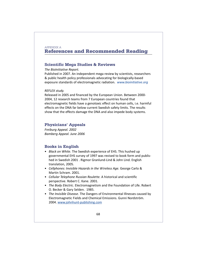## APPENDIX A **References and Recommended Reading**

### **Scientific Mega Studies & Reviews**

#### *The BioInitiative Report.*

Published in 2007. An independent mega review by scientists, researchers & public health policy professionals advocating for biologically-based exposure standards of electromagnetic radiation. *[www.bioinitiative.org](http://www.bioinitiative.org)*

#### *REFLEX study.*

Released in 2005 and financed by the European Union. Between 2000- 2004, 12 research teams from 7 European countries found that electromagnetic fields have a genotoxic effect on human cells, i.e. harmful effects on the DNA far below current Swedish safety limits. The results show that the effects damage the DNA and also impede body systems.

### **Physicians' Appeals**

*Freiburg Appeal. 2002 Bamberg Appeal. June 2006*

## **Books in English**

- *Black on White*. The Swedish experience of EHS. This hushed up governmental EHS survey of 1997 was revised to book form and published in Swedish 2001 . Rigmor Granlund-Lind & John Lind. English translation, 2005.
- *Cellphones: Invisible Hazards in the Wireless Age.* George Carlo & Martin Schram. 2001.
- *Cellular Telephone Russian Roulette.* A historical and scientific perspective. Robert C. Kane. 2001.
- *The Body Electric*. Electromagnetism and the Foundation of Life. Robert O. Becker & Gary Selden. 1985.
- *The Invisible Disease*. The Dangers of Environmental Illnesses caused by Electromagnetic Fields and Chemical Emissions. Gunni Nordström. 2004. [www.johnhunt-publishing.com](http://www.johnhunt-publishing.com)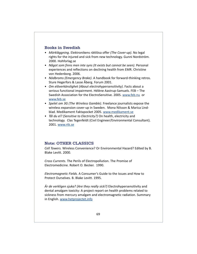## **Books in Swedish**

- *Mörkläggning*. Elektronikens rättlösa offer *(The Cover-up)*. No legal rights for the injured and sick from new technology. Gunni Nordström. 2000. Hohforlag.se
- *Något som finns men inte syns (It exists but cannot be seen)*. Personal experiences and reflections on declining health from EMR. Christine von Hedenborg. 2006.
- *Nödbroms (Emergency Brake)*. A handbook for forward-thinking retros. Sture Hegerfors & Lasse Åberg. Forum 2001.
- *Om elöverkänslighet (About electrohypersensitivity)*. Facts about a serious functional impairment. Hélène Aastrup-Samuels. FEB – The Swedish Association for the ElectroSensitive. 2005. [www.feb.nu o](http://www.feb.nu)r [www.feb.se](http://www.feb.se)
- *Spelet om 3G (The Wireless Gamble)*. Freelance journalists expose the wireless expansion cover-up in Sweden. Mona Nilsson & Marica Lindblad. Medikament Faktapocket 2005. [www.medikament.se](http://www.medikament.se)
- *Tål du el? (Sensitive to Electricity?)* On health, electricity and technology. Clas Tegenfeldt (Civil Engineer/Environmental Consultant). 2001. [www.rtk.se](http://www.rtk.se)

### **Note: OTHER CLASSICS**

*Cell Towers.* Wireless Convenience? Or Environmental Hazard? Edited by B. Blake Levitt. 2000.

*Cross Currents.* The Perils of Electropollution. The Promise of Electromedicine. Robert O. Becker. 1990.

*Electromagnetic Fields.* A Consumer's Guide to the Issues and How to Protect Ourselves. B. Blake Levitt. 1995.

*Är de verkligen sjuka? (Are they really sick?)* Electrohypersensitivity and dental amalgam toxicity: A project report on health problems related to sickness from mercury amalgam and electromagnetic radiation. Summary in English. [www.hetprojectet.info](http://www.hetprojectet.info)